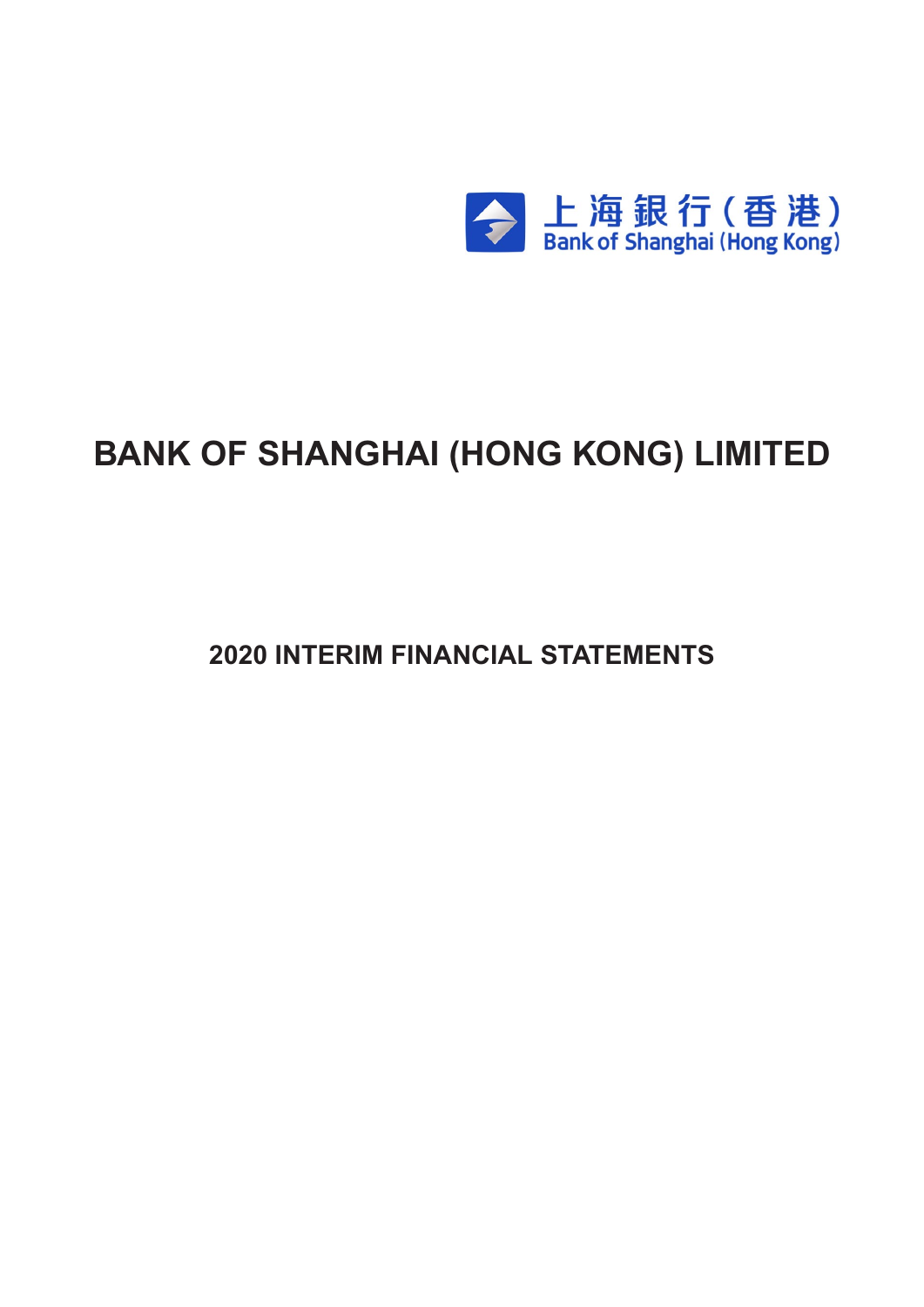

# **BANK OF SHANGHAI (HONG KONG) LIMITED**

**2020 INTERIM FINANCIAL STATEMENTS**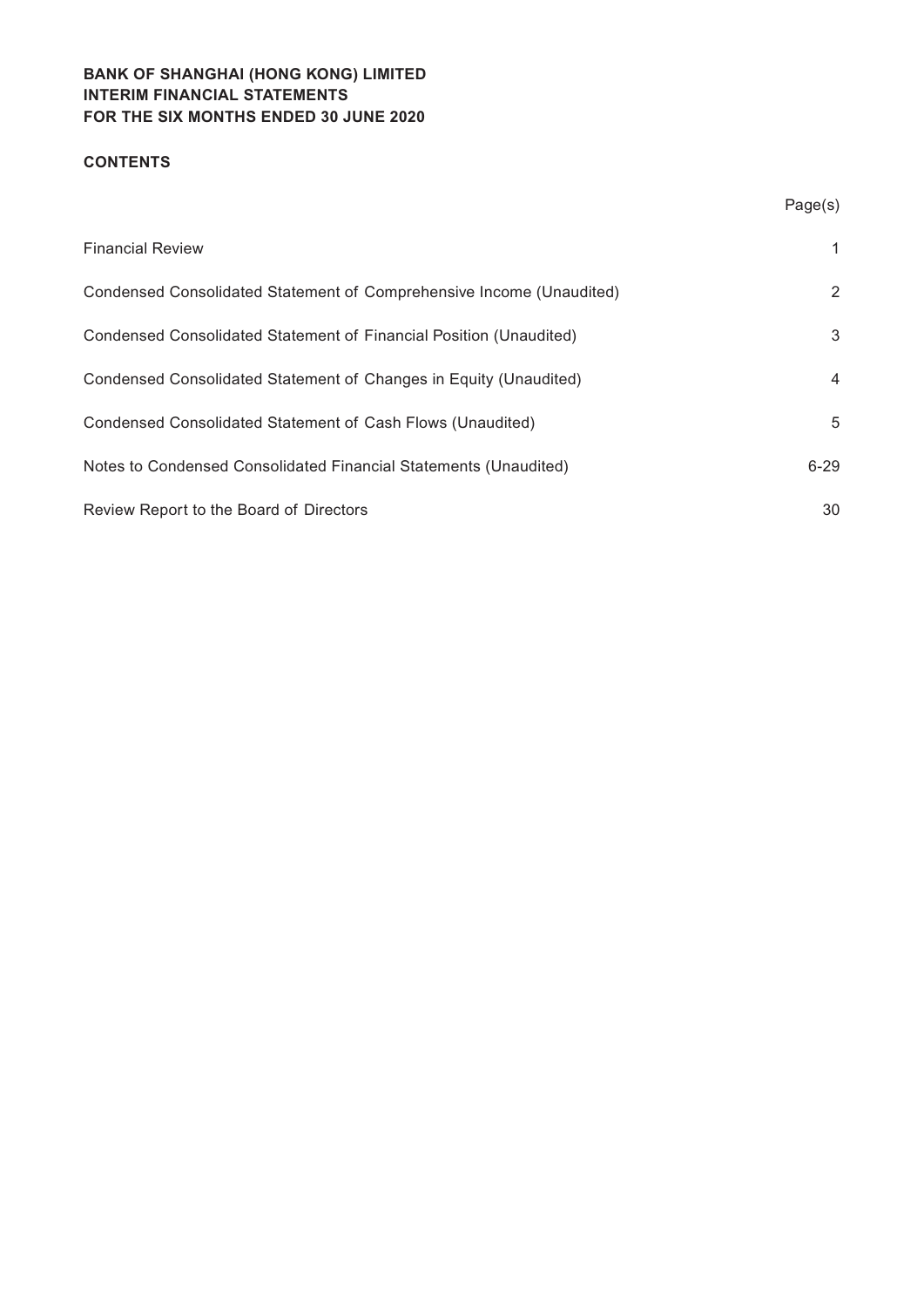## **CONTENTS**

|                                                                      | Page(s)  |
|----------------------------------------------------------------------|----------|
| <b>Financial Review</b>                                              | 1        |
| Condensed Consolidated Statement of Comprehensive Income (Unaudited) | 2        |
| Condensed Consolidated Statement of Financial Position (Unaudited)   | 3        |
| Condensed Consolidated Statement of Changes in Equity (Unaudited)    | 4        |
| Condensed Consolidated Statement of Cash Flows (Unaudited)           | 5        |
| Notes to Condensed Consolidated Financial Statements (Unaudited)     | $6 - 29$ |
| Review Report to the Board of Directors                              | 30       |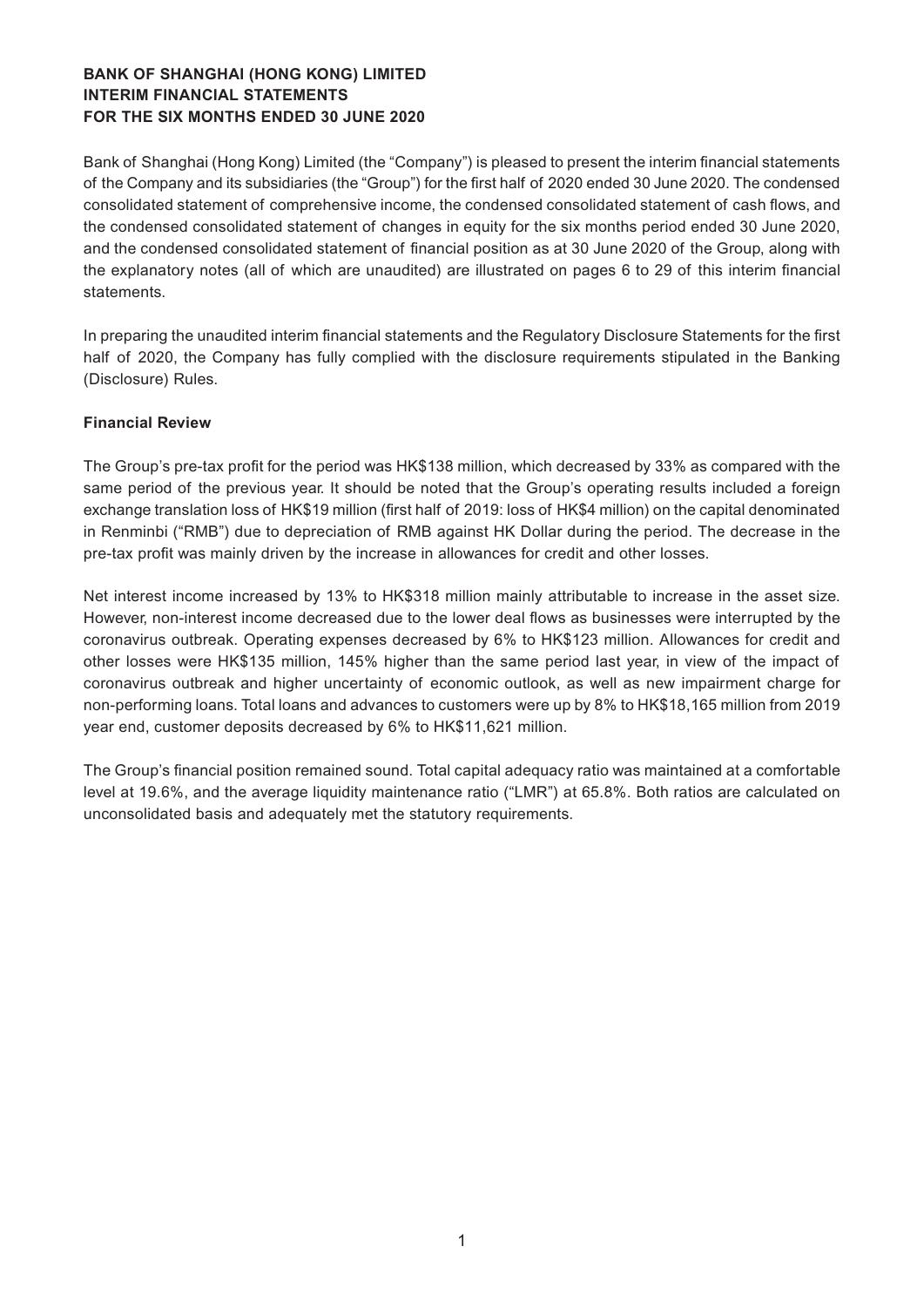Bank of Shanghai (Hong Kong) Limited (the "Company") is pleased to present the interim financial statements of the Company and its subsidiaries (the "Group") for the first half of 2020 ended 30 June 2020. The condensed consolidated statement of comprehensive income, the condensed consolidated statement of cash flows, and the condensed consolidated statement of changes in equity for the six months period ended 30 June 2020, and the condensed consolidated statement of financial position as at 30 June 2020 of the Group, along with the explanatory notes (all of which are unaudited) are illustrated on pages 6 to 29 of this interim financial statements.

In preparing the unaudited interim financial statements and the Regulatory Disclosure Statements for the first half of 2020, the Company has fully complied with the disclosure requirements stipulated in the Banking (Disclosure) Rules.

## **Financial Review**

The Group's pre-tax profit for the period was HK\$138 million, which decreased by 33% as compared with the same period of the previous year. It should be noted that the Group's operating results included a foreign exchange translation loss of HK\$19 million (first half of 2019: loss of HK\$4 million) on the capital denominated in Renminbi ("RMB") due to depreciation of RMB against HK Dollar during the period. The decrease in the pre-tax profit was mainly driven by the increase in allowances for credit and other losses.

Net interest income increased by 13% to HK\$318 million mainly attributable to increase in the asset size. However, non-interest income decreased due to the lower deal flows as businesses were interrupted by the coronavirus outbreak. Operating expenses decreased by 6% to HK\$123 million. Allowances for credit and other losses were HK\$135 million, 145% higher than the same period last year, in view of the impact of coronavirus outbreak and higher uncertainty of economic outlook, as well as new impairment charge for non-performing loans. Total loans and advances to customers were up by 8% to HK\$18,165 million from 2019 year end, customer deposits decreased by 6% to HK\$11,621 million.

The Group's financial position remained sound. Total capital adequacy ratio was maintained at a comfortable level at 19.6%, and the average liquidity maintenance ratio ("LMR") at 65.8%. Both ratios are calculated on unconsolidated basis and adequately met the statutory requirements.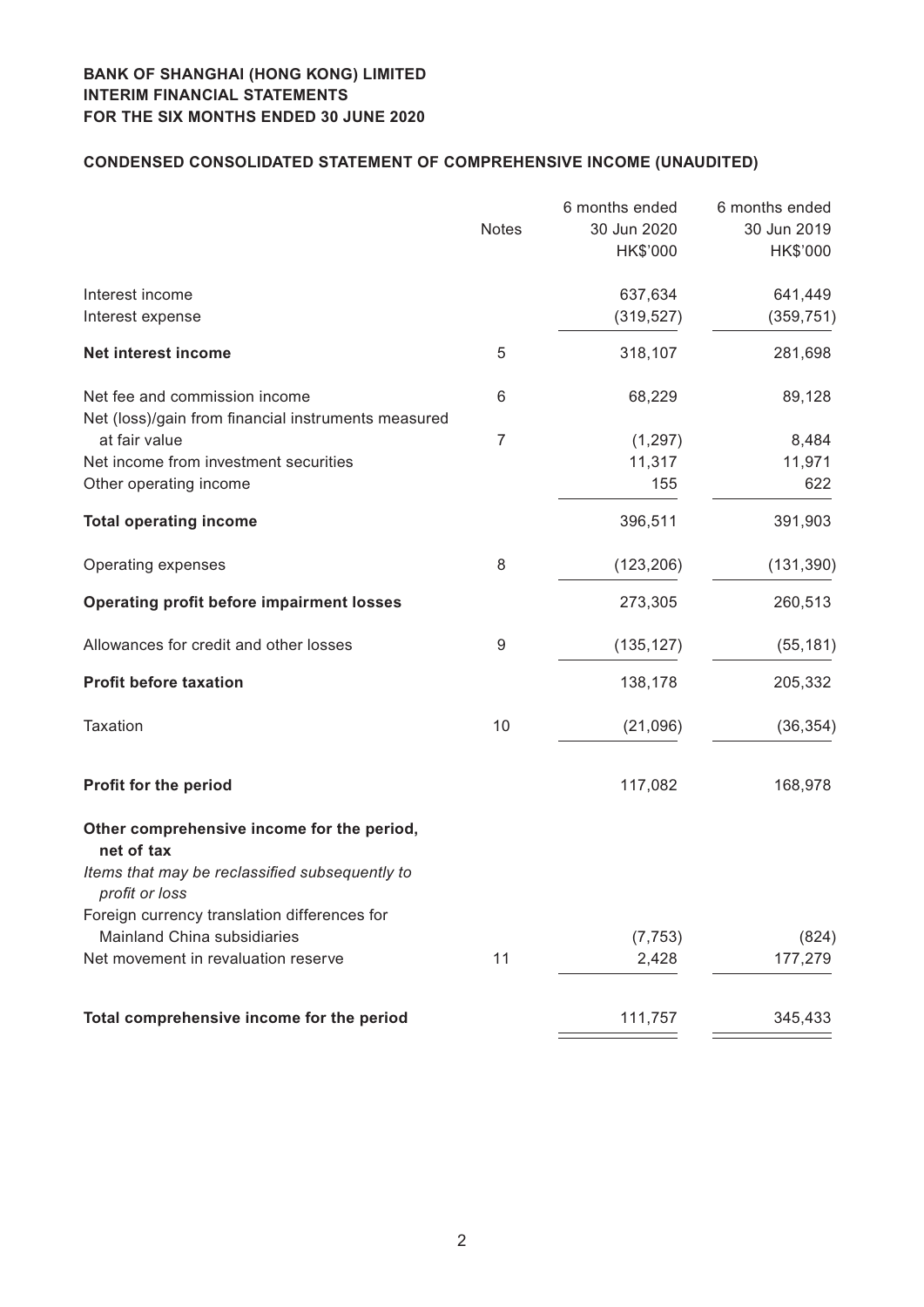# **Condensed CONSOLIDATED STATEMENT OF COMPREHENSIVE INCOME (unaudited)**

|                                                                                      | <b>Notes</b>   | 6 months ended<br>30 Jun 2020<br>HK\$'000 | 6 months ended<br>30 Jun 2019<br>HK\$'000 |
|--------------------------------------------------------------------------------------|----------------|-------------------------------------------|-------------------------------------------|
| Interest income<br>Interest expense                                                  |                | 637,634<br>(319, 527)                     | 641,449<br>(359, 751)                     |
| <b>Net interest income</b>                                                           | 5              | 318,107                                   | 281,698                                   |
| Net fee and commission income<br>Net (loss)/gain from financial instruments measured | 6              | 68,229                                    | 89,128                                    |
| at fair value                                                                        | $\overline{7}$ | (1, 297)                                  | 8,484                                     |
| Net income from investment securities                                                |                | 11,317                                    | 11,971                                    |
| Other operating income                                                               |                | 155                                       | 622                                       |
| <b>Total operating income</b>                                                        |                | 396,511                                   | 391,903                                   |
| Operating expenses                                                                   | 8              | (123, 206)                                | (131, 390)                                |
| <b>Operating profit before impairment losses</b>                                     |                | 273,305                                   | 260,513                                   |
| Allowances for credit and other losses                                               | 9              | (135, 127)                                | (55, 181)                                 |
| <b>Profit before taxation</b>                                                        |                | 138,178                                   | 205,332                                   |
| Taxation                                                                             | 10             | (21,096)                                  | (36, 354)                                 |
| Profit for the period                                                                |                | 117,082                                   | 168,978                                   |
| Other comprehensive income for the period,<br>net of tax                             |                |                                           |                                           |
| Items that may be reclassified subsequently to<br>profit or loss                     |                |                                           |                                           |
| Foreign currency translation differences for                                         |                |                                           |                                           |
| Mainland China subsidiaries                                                          |                | (7, 753)                                  | (824)                                     |
| Net movement in revaluation reserve                                                  | 11             | 2,428                                     | 177,279                                   |
| Total comprehensive income for the period                                            |                | 111,757                                   | 345,433                                   |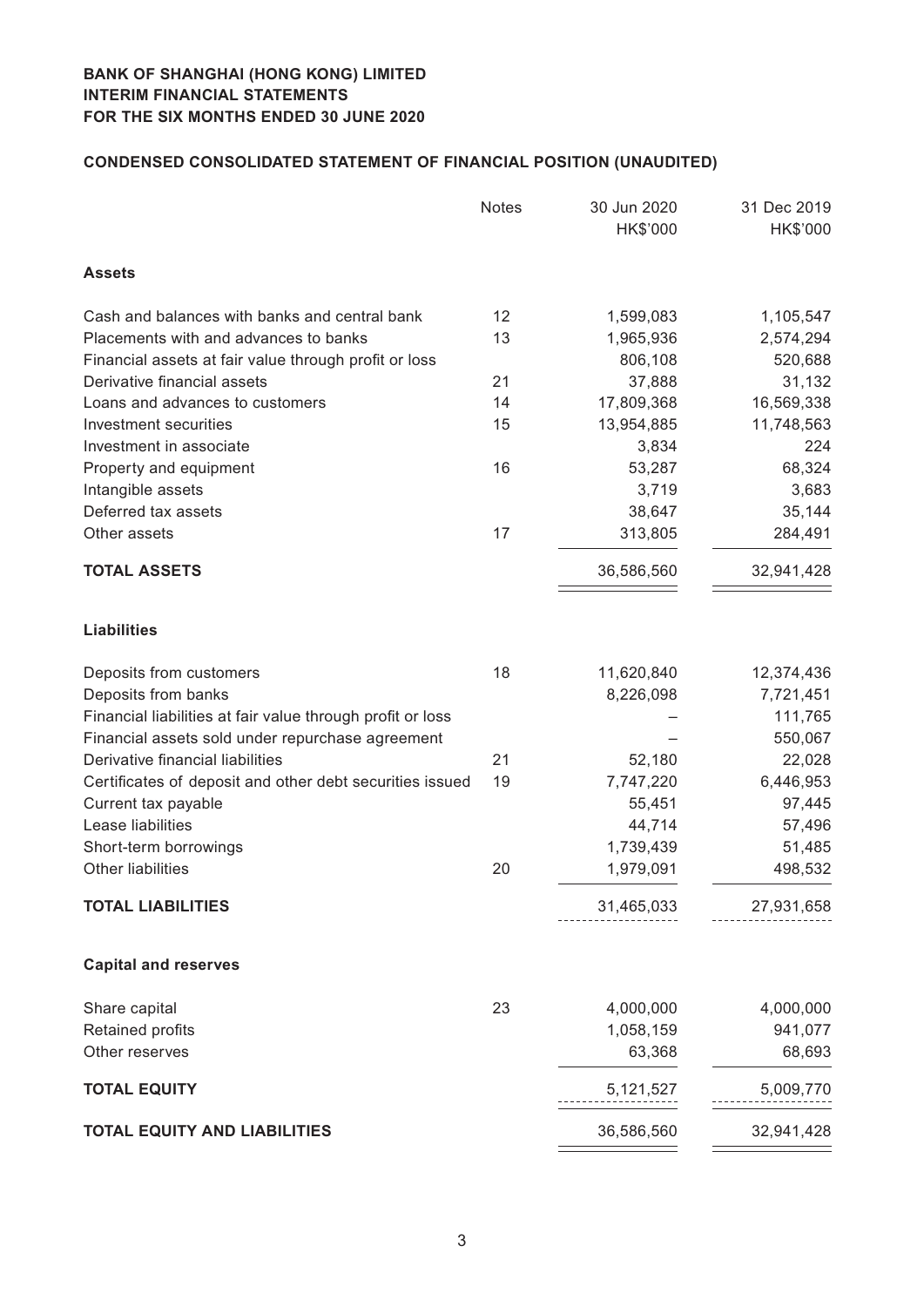# **Condensed CONSOLIDATED STATEMENT OF FINANCIAL POSITION (unaudited)**

|                                                            | <b>Notes</b> | 30 Jun 2020<br>HK\$'000 | 31 Dec 2019<br>HK\$'000 |
|------------------------------------------------------------|--------------|-------------------------|-------------------------|
| <b>Assets</b>                                              |              |                         |                         |
| Cash and balances with banks and central bank              | 12           | 1,599,083               | 1,105,547               |
| Placements with and advances to banks                      | 13           | 1,965,936               | 2,574,294               |
| Financial assets at fair value through profit or loss      |              | 806,108                 | 520,688                 |
| Derivative financial assets                                | 21           | 37,888                  | 31,132                  |
| Loans and advances to customers                            | 14           | 17,809,368              | 16,569,338              |
| Investment securities                                      | 15           | 13,954,885              | 11,748,563              |
| Investment in associate                                    |              | 3,834                   | 224                     |
| Property and equipment                                     | 16           | 53,287                  | 68,324                  |
| Intangible assets                                          |              | 3,719                   | 3,683                   |
| Deferred tax assets                                        |              | 38,647                  | 35,144                  |
| Other assets                                               | 17           | 313,805                 | 284,491                 |
| <b>TOTAL ASSETS</b>                                        |              | 36,586,560              | 32,941,428              |
| <b>Liabilities</b>                                         |              |                         |                         |
| Deposits from customers                                    | 18           | 11,620,840              | 12,374,436              |
| Deposits from banks                                        |              | 8,226,098               | 7,721,451               |
| Financial liabilities at fair value through profit or loss |              |                         | 111,765                 |
| Financial assets sold under repurchase agreement           |              |                         | 550,067                 |
| Derivative financial liabilities                           | 21           | 52,180                  | 22,028                  |
| Certificates of deposit and other debt securities issued   | 19           | 7,747,220               | 6,446,953               |
| Current tax payable                                        |              | 55,451                  | 97,445                  |
| Lease liabilities                                          |              | 44,714                  | 57,496                  |
| Short-term borrowings                                      |              | 1,739,439               | 51,485                  |
| Other liabilities                                          | 20           | 1,979,091               | 498,532                 |
| <b>TOTAL LIABILITIES</b>                                   |              | 31,465,033              | 27,931,658              |
| <b>Capital and reserves</b>                                |              |                         |                         |
| Share capital                                              | 23           | 4,000,000               | 4,000,000               |
| Retained profits                                           |              | 1,058,159               | 941,077                 |
| Other reserves                                             |              | 63,368                  | 68,693                  |
| <b>TOTAL EQUITY</b>                                        |              | 5,121,527               | 5,009,770               |
| <b>TOTAL EQUITY AND LIABILITIES</b>                        |              | 36,586,560              | 32,941,428              |
|                                                            |              |                         |                         |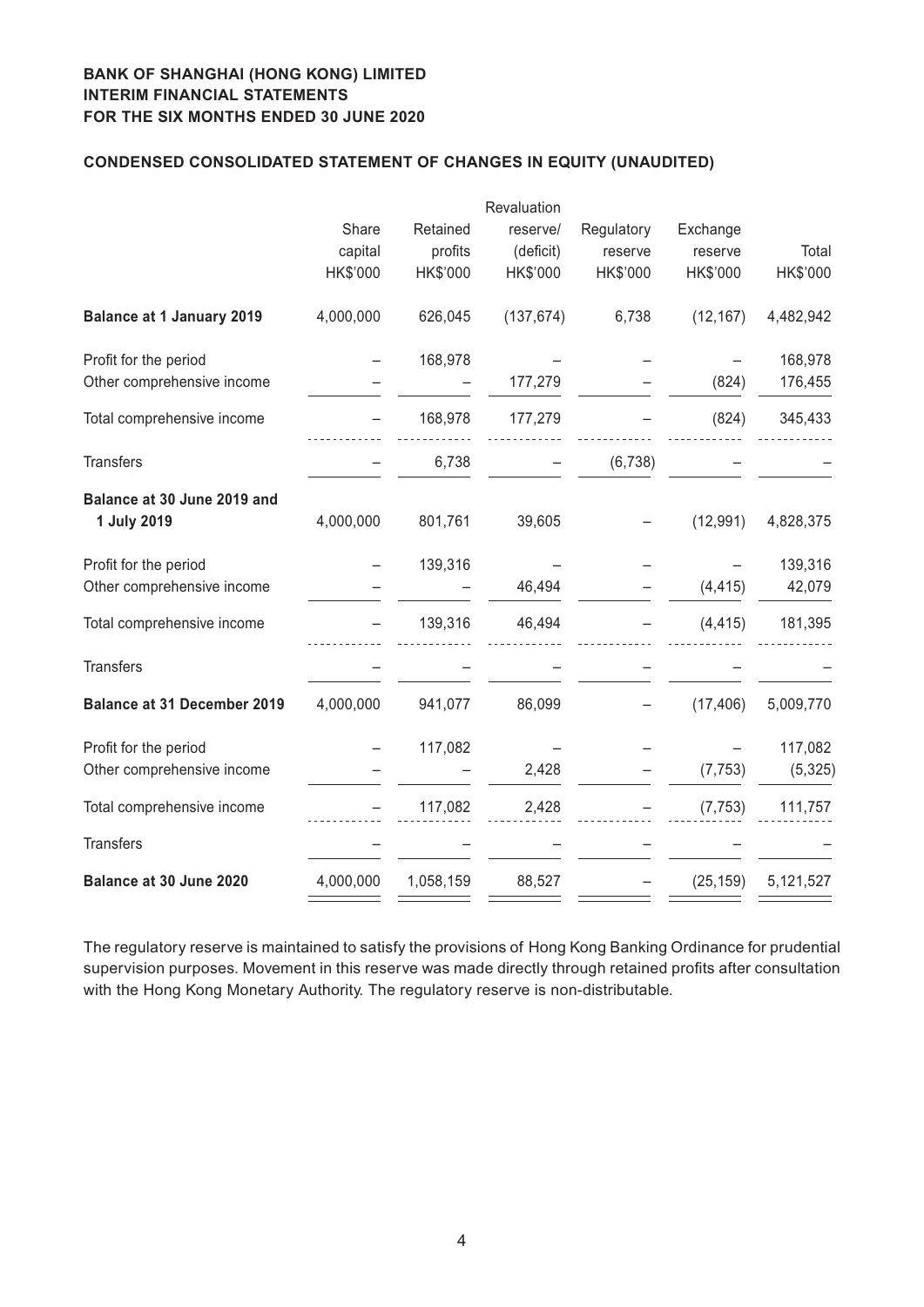## **Condensed CONSOLIDATED STATEMENT OF CHANGES IN EQUITY (unaudited)**

|                                            |           |           | Revaluation |            |           |           |
|--------------------------------------------|-----------|-----------|-------------|------------|-----------|-----------|
|                                            | Share     | Retained  | reserve/    | Regulatory | Exchange  |           |
|                                            | capital   | profits   | (deficit)   | reserve    | reserve   | Total     |
|                                            | HK\$'000  | HK\$'000  | HK\$'000    | HK\$'000   | HK\$'000  | HK\$'000  |
| <b>Balance at 1 January 2019</b>           | 4,000,000 | 626,045   | (137, 674)  | 6,738      | (12, 167) | 4,482,942 |
| Profit for the period                      |           | 168,978   |             |            |           | 168,978   |
| Other comprehensive income                 |           |           | 177,279     |            | (824)     | 176,455   |
| Total comprehensive income                 |           | 168,978   | 177,279     |            | (824)     | 345,433   |
| <b>Transfers</b>                           |           | 6,738     |             | (6, 738)   |           |           |
| Balance at 30 June 2019 and<br>1 July 2019 | 4,000,000 | 801,761   | 39,605      |            | (12, 991) | 4,828,375 |
| Profit for the period                      |           | 139,316   |             |            |           | 139,316   |
| Other comprehensive income                 |           |           | 46,494      |            | (4, 415)  | 42,079    |
| Total comprehensive income                 |           | 139,316   | 46,494      |            | (4, 415)  | 181,395   |
| <b>Transfers</b>                           |           |           |             |            |           |           |
| <b>Balance at 31 December 2019</b>         | 4,000,000 | 941,077   | 86,099      |            | (17, 406) | 5,009,770 |
| Profit for the period                      |           | 117,082   |             |            |           | 117,082   |
| Other comprehensive income                 |           |           | 2,428       |            | (7, 753)  | (5, 325)  |
| Total comprehensive income                 |           | 117,082   | 2,428       |            | (7, 753)  | 111,757   |
| <b>Transfers</b>                           |           |           |             |            |           |           |
| Balance at 30 June 2020                    | 4,000,000 | 1,058,159 | 88,527      |            | (25, 159) | 5,121,527 |

The regulatory reserve is maintained to satisfy the provisions of Hong Kong Banking Ordinance for prudential supervision purposes. Movement in this reserve was made directly through retained profits after consultation with the Hong Kong Monetary Authority. The regulatory reserve is non-distributable.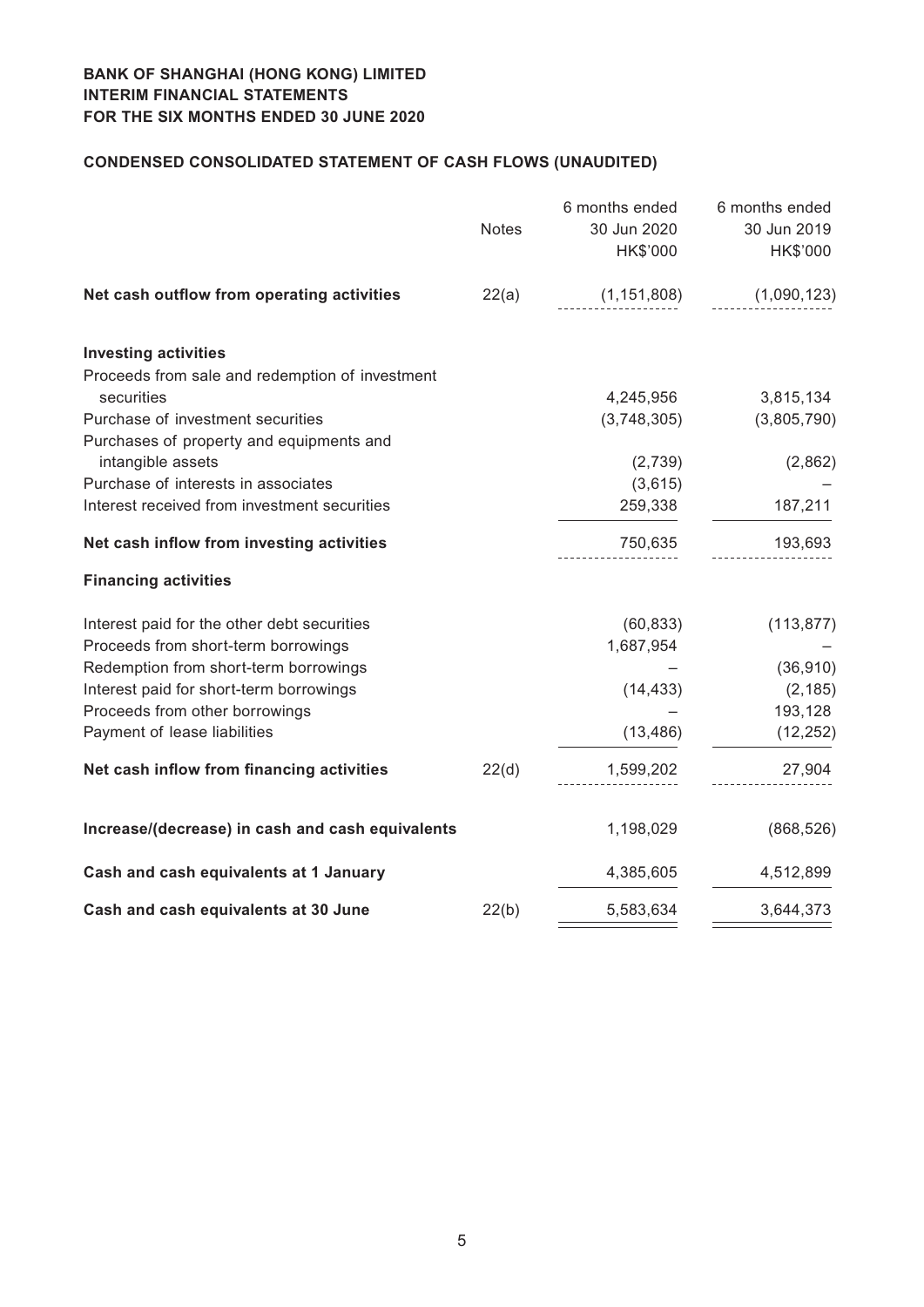# **Condensed CONSOLIDATED STATEMENT OF CASH FLOWS (unaudited)**

|                                                  | <b>Notes</b> | 6 months ended<br>30 Jun 2020<br>HK\$'000 | 6 months ended<br>30 Jun 2019<br>HK\$'000 |
|--------------------------------------------------|--------------|-------------------------------------------|-------------------------------------------|
| Net cash outflow from operating activities       | 22(a)        | (1, 151, 808)                             | (1,090,123)                               |
| <b>Investing activities</b>                      |              |                                           |                                           |
| Proceeds from sale and redemption of investment  |              |                                           |                                           |
| securities                                       |              | 4,245,956                                 | 3,815,134                                 |
| Purchase of investment securities                |              | (3,748,305)                               | (3,805,790)                               |
| Purchases of property and equipments and         |              |                                           |                                           |
| intangible assets                                |              | (2,739)                                   | (2,862)                                   |
| Purchase of interests in associates              |              | (3,615)                                   |                                           |
| Interest received from investment securities     |              | 259,338                                   | 187,211                                   |
| Net cash inflow from investing activities        |              | 750,635                                   | 193,693                                   |
| <b>Financing activities</b>                      |              |                                           |                                           |
| Interest paid for the other debt securities      |              | (60, 833)                                 | (113, 877)                                |
| Proceeds from short-term borrowings              |              | 1,687,954                                 |                                           |
| Redemption from short-term borrowings            |              |                                           | (36, 910)                                 |
| Interest paid for short-term borrowings          |              | (14, 433)                                 | (2, 185)                                  |
| Proceeds from other borrowings                   |              |                                           | 193,128                                   |
| Payment of lease liabilities                     |              | (13, 486)                                 | (12, 252)                                 |
| Net cash inflow from financing activities        | 22(d)        | 1,599,202                                 | 27,904                                    |
| Increase/(decrease) in cash and cash equivalents |              | 1,198,029                                 | (868, 526)                                |
| Cash and cash equivalents at 1 January           |              | 4,385,605                                 | 4,512,899                                 |
| Cash and cash equivalents at 30 June             | 22(b)        | 5,583,634                                 | 3,644,373                                 |
|                                                  |              |                                           |                                           |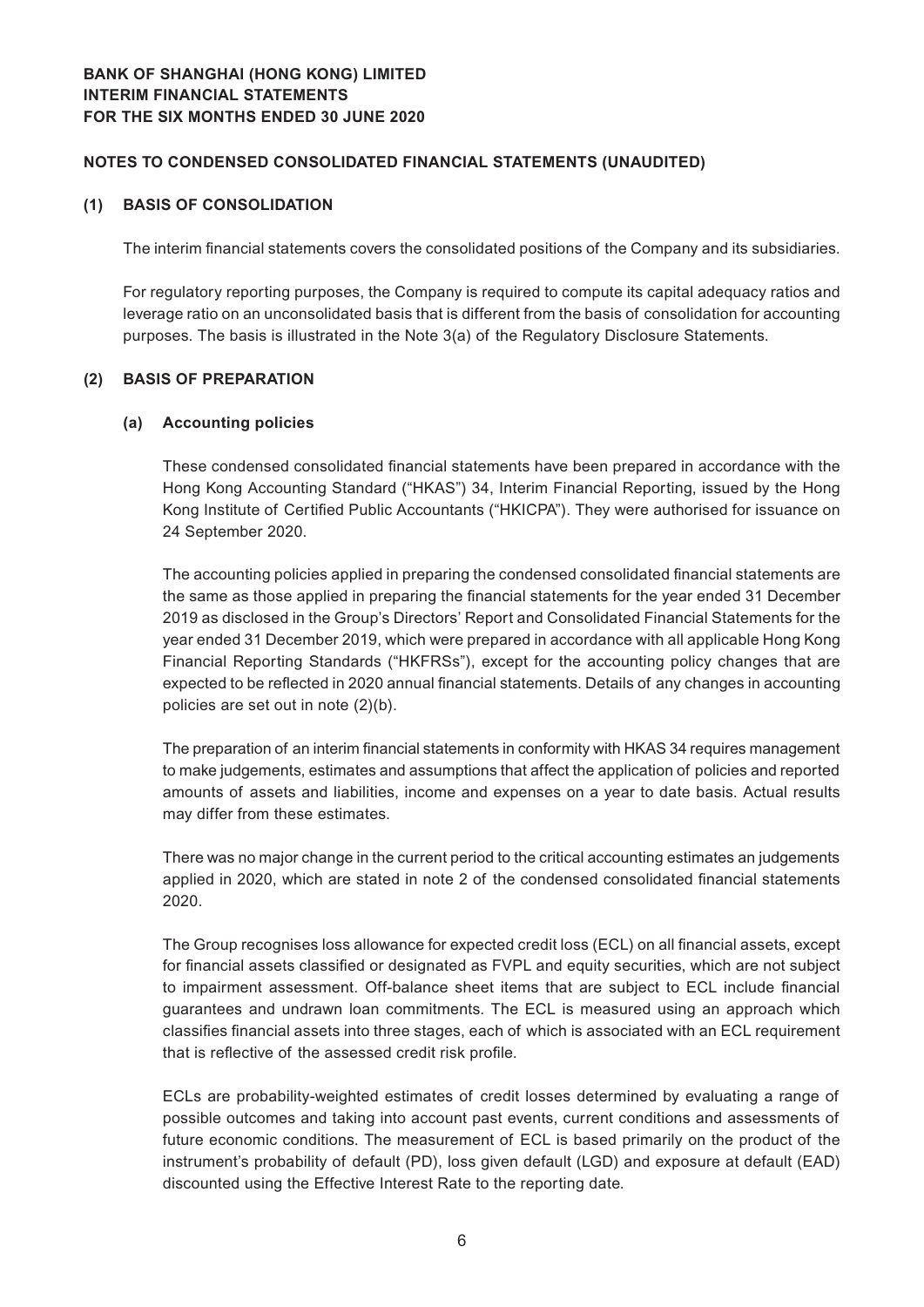#### **(1) BASIS OF CONSOLIDATION**

The interim financial statements covers the consolidated positions of the Company and its subsidiaries.

For regulatory reporting purposes, the Company is required to compute its capital adequacy ratios and leverage ratio on an unconsolidated basis that is different from the basis of consolidation for accounting purposes. The basis is illustrated in the Note 3(a) of the Regulatory Disclosure Statements.

#### **(2) BASIS OF PREPARATION**

#### **(a) Accounting policies**

These condensed consolidated financial statements have been prepared in accordance with the Hong Kong Accounting Standard ("HKAS") 34, Interim Financial Reporting, issued by the Hong Kong Institute of Certified Public Accountants ("HKICPA"). They were authorised for issuance on 24 September 2020.

The accounting policies applied in preparing the condensed consolidated financial statements are the same as those applied in preparing the financial statements for the year ended 31 December 2019 as disclosed in the Group's Directors' Report and Consolidated Financial Statements for the year ended 31 December 2019, which were prepared in accordance with all applicable Hong Kong Financial Reporting Standards ("HKFRSs"), except for the accounting policy changes that are expected to be reflected in 2020 annual financial statements. Details of any changes in accounting policies are set out in note (2)(b).

The preparation of an interim financial statements in conformity with HKAS 34 requires management to make judgements, estimates and assumptions that affect the application of policies and reported amounts of assets and liabilities, income and expenses on a year to date basis. Actual results may differ from these estimates.

There was no major change in the current period to the critical accounting estimates an judgements applied in 2020, which are stated in note 2 of the condensed consolidated financial statements 2020.

The Group recognises loss allowance for expected credit loss (ECL) on all financial assets, except for financial assets classified or designated as FVPL and equity securities, which are not subject to impairment assessment. Off-balance sheet items that are subject to ECL include financial guarantees and undrawn loan commitments. The ECL is measured using an approach which classifies financial assets into three stages, each of which is associated with an ECL requirement that is reflective of the assessed credit risk profile.

ECLs are probability-weighted estimates of credit losses determined by evaluating a range of possible outcomes and taking into account past events, current conditions and assessments of future economic conditions. The measurement of ECL is based primarily on the product of the instrument's probability of default (PD), loss given default (LGD) and exposure at default (EAD) discounted using the Effective Interest Rate to the reporting date.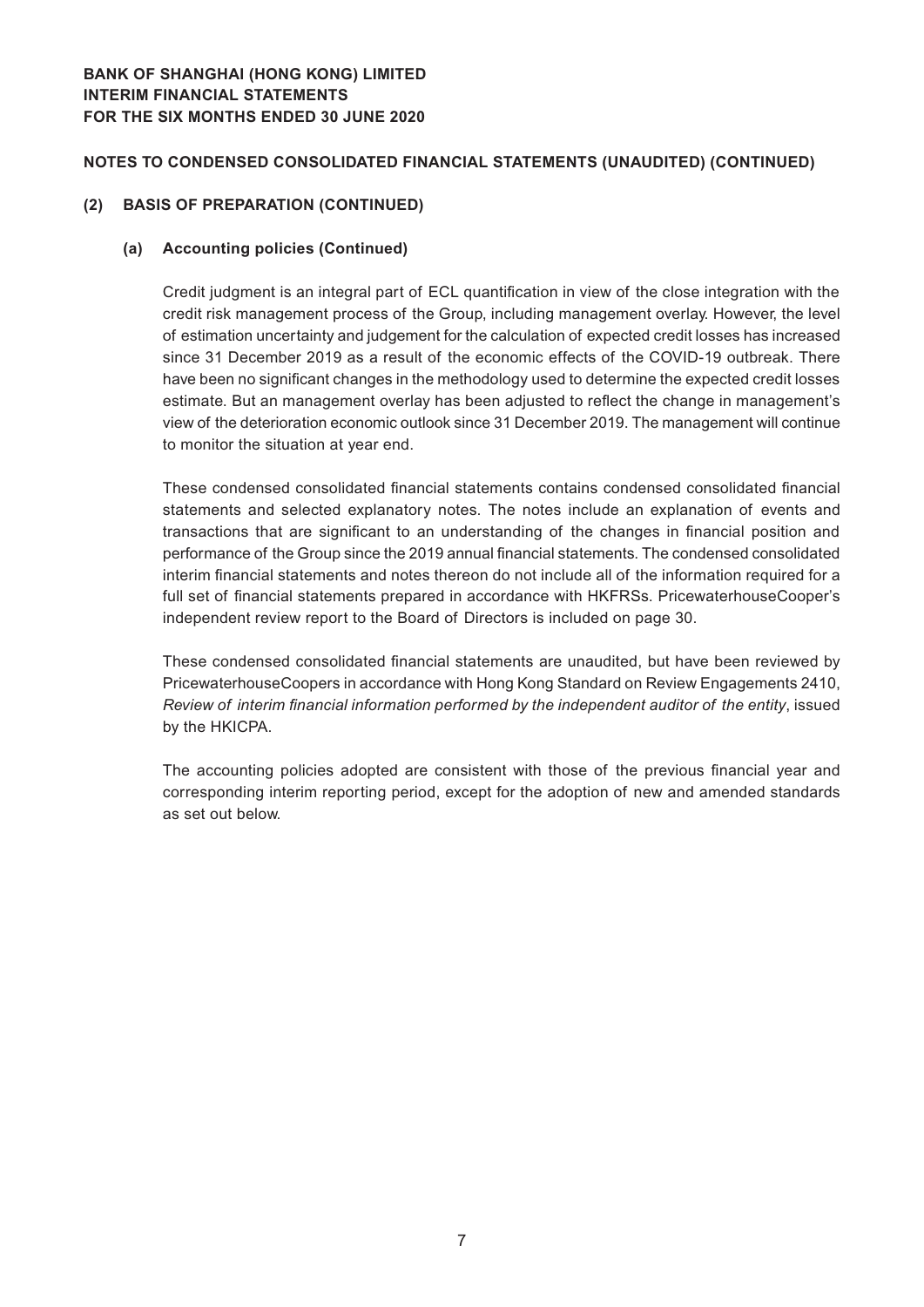## **Notes to Condensed Consolidated Financial Statements (Unaudited) (CONTINUED)**

#### **(2) BASIS OF PREPARATION (CONTINUED)**

#### **(a) Accounting policies (Continued)**

Credit judgment is an integral part of ECL quantification in view of the close integration with the credit risk management process of the Group, including management overlay. However, the level of estimation uncertainty and judgement for the calculation of expected credit losses has increased since 31 December 2019 as a result of the economic effects of the COVID-19 outbreak. There have been no significant changes in the methodology used to determine the expected credit losses estimate. But an management overlay has been adjusted to reflect the change in management's view of the deterioration economic outlook since 31 December 2019. The management will continue to monitor the situation at year end.

These condensed consolidated financial statements contains condensed consolidated financial statements and selected explanatory notes. The notes include an explanation of events and transactions that are significant to an understanding of the changes in financial position and performance of the Group since the 2019 annual financial statements. The condensed consolidated interim financial statements and notes thereon do not include all of the information required for a full set of financial statements prepared in accordance with HKFRSs. PricewaterhouseCooper's independent review report to the Board of Directors is included on page 30.

These condensed consolidated financial statements are unaudited, but have been reviewed by PricewaterhouseCoopers in accordance with Hong Kong Standard on Review Engagements 2410, *Review of interim financial information performed by the independent auditor of the entity*, issued by the HKICPA.

The accounting policies adopted are consistent with those of the previous financial year and corresponding interim reporting period, except for the adoption of new and amended standards as set out below.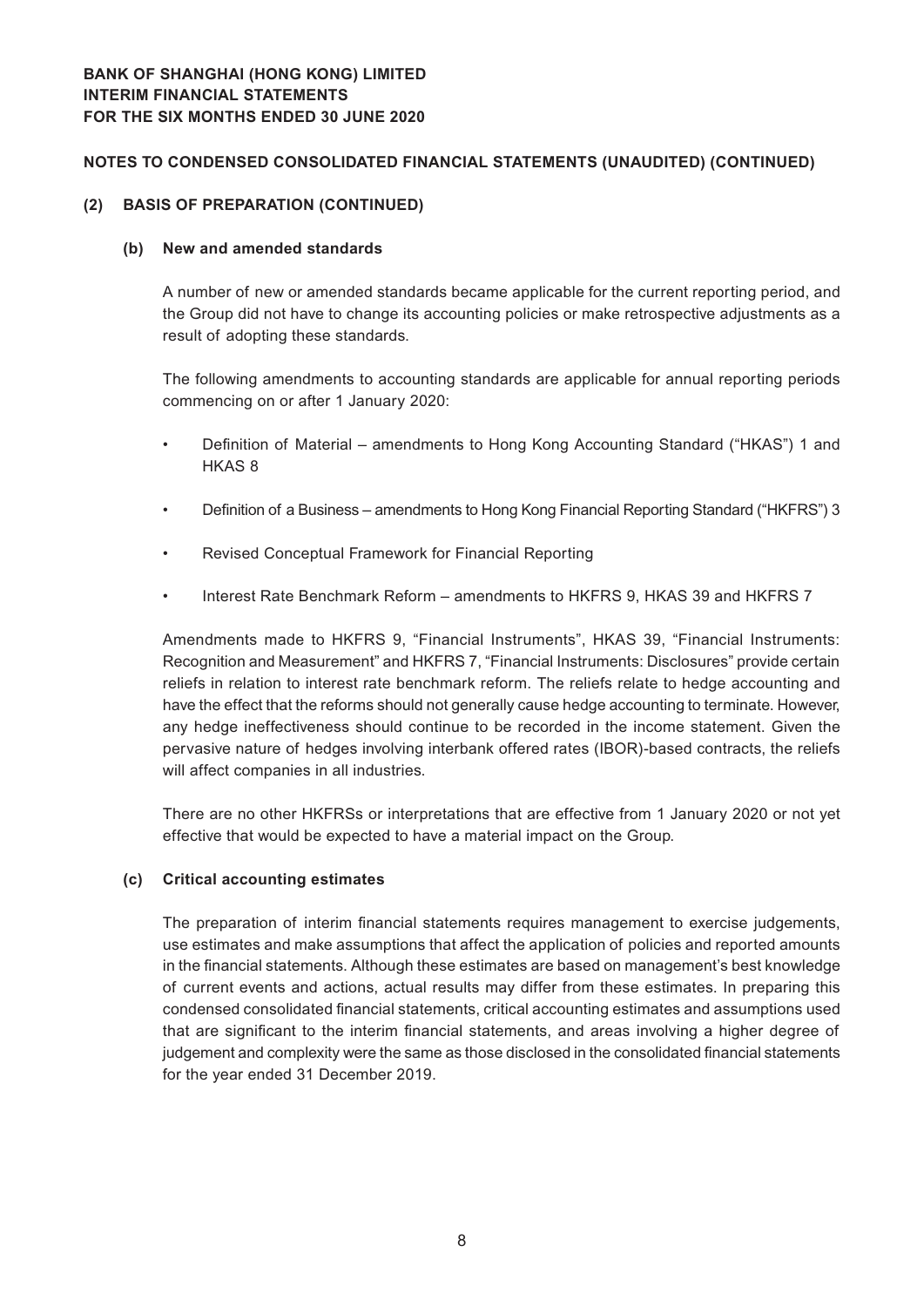#### **(2) BASIS OF PREPARATION (CONTINUED)**

#### **(b) New and amended standards**

A number of new or amended standards became applicable for the current reporting period, and the Group did not have to change its accounting policies or make retrospective adjustments as a result of adopting these standards.

The following amendments to accounting standards are applicable for annual reporting periods commencing on or after 1 January 2020:

- Definition of Material amendments to Hong Kong Accounting Standard ("HKAS") 1 and HKAS 8
- Definition of a Business amendments to Hong Kong Financial Reporting Standard ("HKFRS") 3
- Revised Conceptual Framework for Financial Reporting
- Interest Rate Benchmark Reform amendments to HKFRS 9, HKAS 39 and HKFRS 7

Amendments made to HKFRS 9, "Financial Instruments", HKAS 39, "Financial Instruments: Recognition and Measurement" and HKFRS 7, "Financial Instruments: Disclosures" provide certain reliefs in relation to interest rate benchmark reform. The reliefs relate to hedge accounting and have the effect that the reforms should not generally cause hedge accounting to terminate. However, any hedge ineffectiveness should continue to be recorded in the income statement. Given the pervasive nature of hedges involving interbank offered rates (IBOR)-based contracts, the reliefs will affect companies in all industries.

There are no other HKFRSs or interpretations that are effective from 1 January 2020 or not yet effective that would be expected to have a material impact on the Group.

#### **(c) Critical accounting estimates**

The preparation of interim financial statements requires management to exercise judgements, use estimates and make assumptions that affect the application of policies and reported amounts in the financial statements. Although these estimates are based on management's best knowledge of current events and actions, actual results may differ from these estimates. In preparing this condensed consolidated financial statements, critical accounting estimates and assumptions used that are significant to the interim financial statements, and areas involving a higher degree of judgement and complexity were the same as those disclosed in the consolidated financial statements for the year ended 31 December 2019.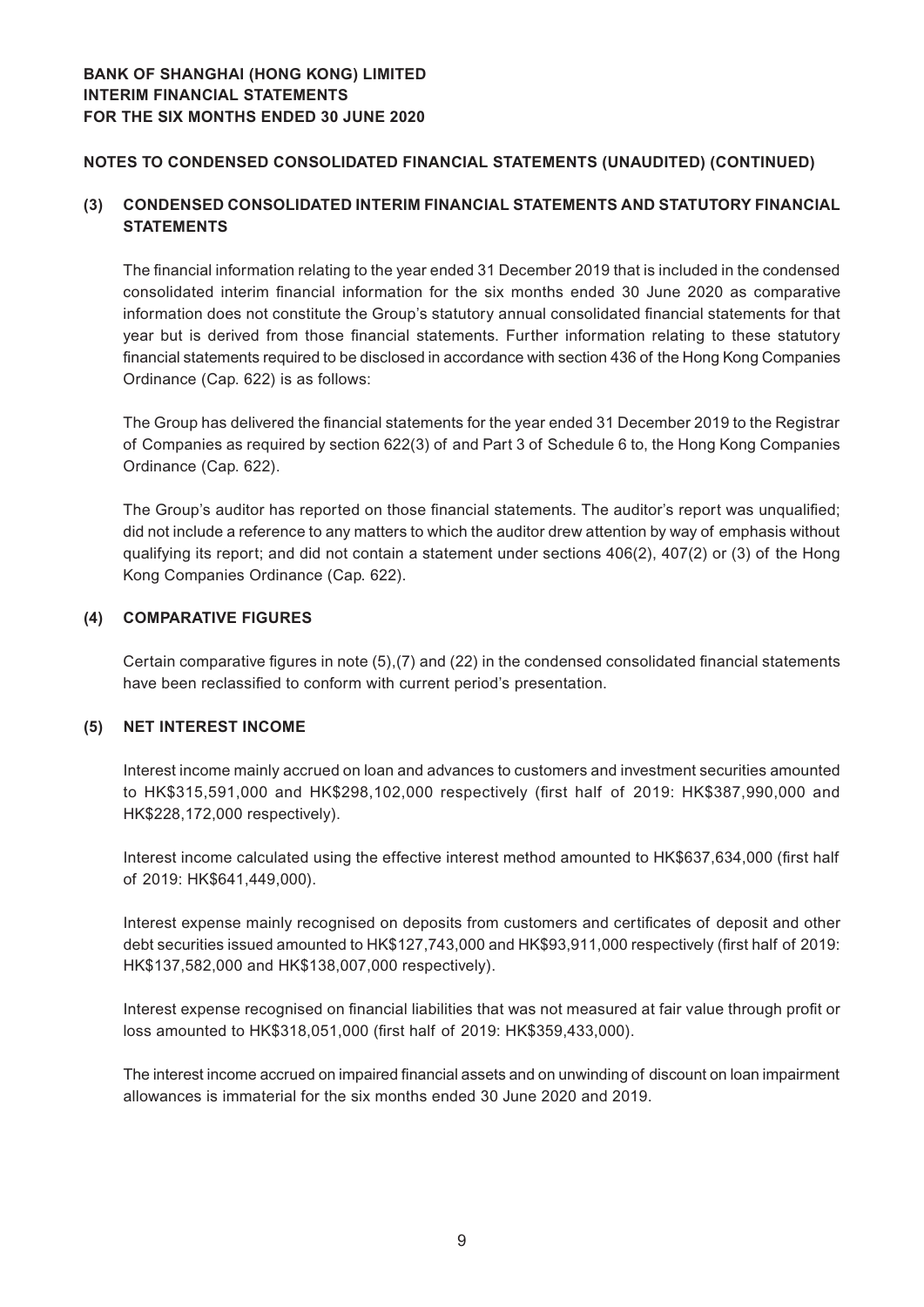## **Notes to Condensed Consolidated Financial Statements (Unaudited) (CONTINUED)**

## **(3) CONDENSED CONSOLIDATED INTERIM FINANCIAL STATEMENTS AND STATUTORY FINANCIAL STATEMENTS**

The financial information relating to the year ended 31 December 2019 that is included in the condensed consolidated interim financial information for the six months ended 30 June 2020 as comparative information does not constitute the Group's statutory annual consolidated financial statements for that year but is derived from those financial statements. Further information relating to these statutory financial statements required to be disclosed in accordance with section 436 of the Hong Kong Companies Ordinance (Cap. 622) is as follows:

The Group has delivered the financial statements for the year ended 31 December 2019 to the Registrar of Companies as required by section 622(3) of and Part 3 of Schedule 6 to, the Hong Kong Companies Ordinance (Cap. 622).

The Group's auditor has reported on those financial statements. The auditor's report was unqualified; did not include a reference to any matters to which the auditor drew attention by way of emphasis without qualifying its report; and did not contain a statement under sections 406(2), 407(2) or (3) of the Hong Kong Companies Ordinance (Cap. 622).

## **(4) COMPARATIVE FIGURES**

Certain comparative figures in note (5),(7) and (22) in the condensed consolidated financial statements have been reclassified to conform with current period's presentation.

#### **(5) NET INTEREST INCOME**

Interest income mainly accrued on loan and advances to customers and investment securities amounted to HK\$315,591,000 and HK\$298,102,000 respectively (first half of 2019: HK\$387,990,000 and HK\$228,172,000 respectively).

Interest income calculated using the effective interest method amounted to HK\$637,634,000 (first half of 2019: HK\$641,449,000).

Interest expense mainly recognised on deposits from customers and certificates of deposit and other debt securities issued amounted to HK\$127,743,000 and HK\$93,911,000 respectively (first half of 2019: HK\$137,582,000 and HK\$138,007,000 respectively).

Interest expense recognised on financial liabilities that was not measured at fair value through profit or loss amounted to HK\$318,051,000 (first half of 2019: HK\$359,433,000).

The interest income accrued on impaired financial assets and on unwinding of discount on loan impairment allowances is immaterial for the six months ended 30 June 2020 and 2019.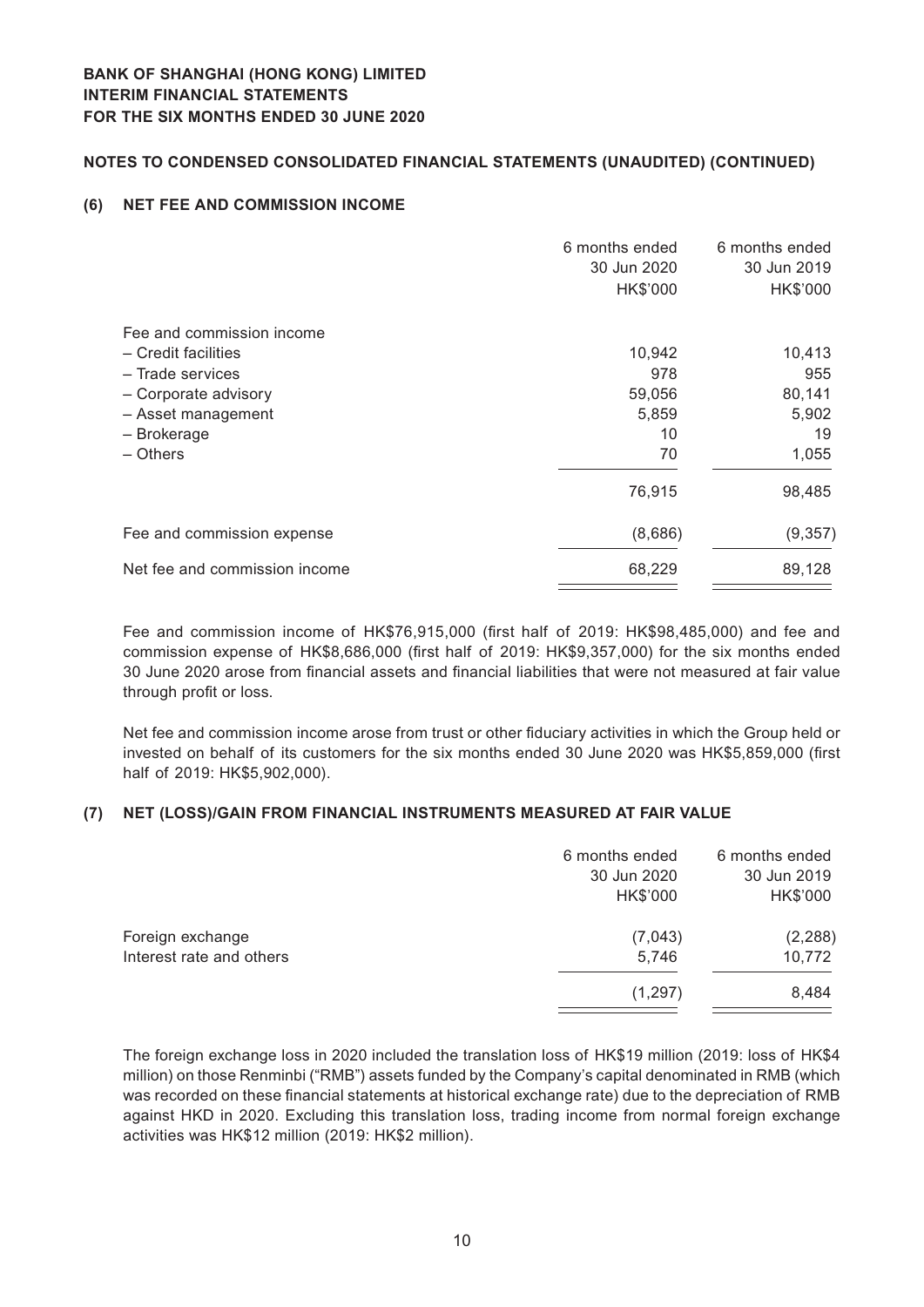## **Notes to Condensed Consolidated Financial Statements (Unaudited) (CONTINUED)**

## **(6) NET FEE AND COMMISSION INCOME**

| 6 months ended | 6 months ended |
|----------------|----------------|
|                | 30 Jun 2019    |
| HK\$'000       | HK\$'000       |
|                |                |
| 10,942         | 10,413         |
| 978            | 955            |
| 59,056         | 80,141         |
| 5,859          | 5,902          |
| 10             | 19             |
| 70             | 1,055          |
| 76,915         | 98,485         |
| (8,686)        | (9, 357)       |
| 68,229         | 89,128         |
|                | 30 Jun 2020    |

Fee and commission income of HK\$76,915,000 (first half of 2019: HK\$98,485,000) and fee and commission expense of HK\$8,686,000 (first half of 2019: HK\$9,357,000) for the six months ended 30 June 2020 arose from financial assets and financial liabilities that were not measured at fair value through profit or loss.

Net fee and commission income arose from trust or other fiduciary activities in which the Group held or invested on behalf of its customers for the six months ended 30 June 2020 was HK\$5,859,000 (first half of 2019: HK\$5,902,000).

## **(7) NET (LOSS)/GAIN FROM FINANCIAL INSTRUMENTS MEASURED AT FAIR VALUE**

|                          | 6 months ended | 6 months ended |
|--------------------------|----------------|----------------|
|                          | 30 Jun 2020    | 30 Jun 2019    |
|                          | HK\$'000       | HK\$'000       |
| Foreign exchange         | (7,043)        | (2, 288)       |
| Interest rate and others | 5,746          | 10,772         |
|                          | (1, 297)       | 8,484          |
|                          |                |                |

The foreign exchange loss in 2020 included the translation loss of HK\$19 million (2019: loss of HK\$4 million) on those Renminbi ("RMB") assets funded by the Company's capital denominated in RMB (which was recorded on these financial statements at historical exchange rate) due to the depreciation of RMB against HKD in 2020. Excluding this translation loss, trading income from normal foreign exchange activities was HK\$12 million (2019: HK\$2 million).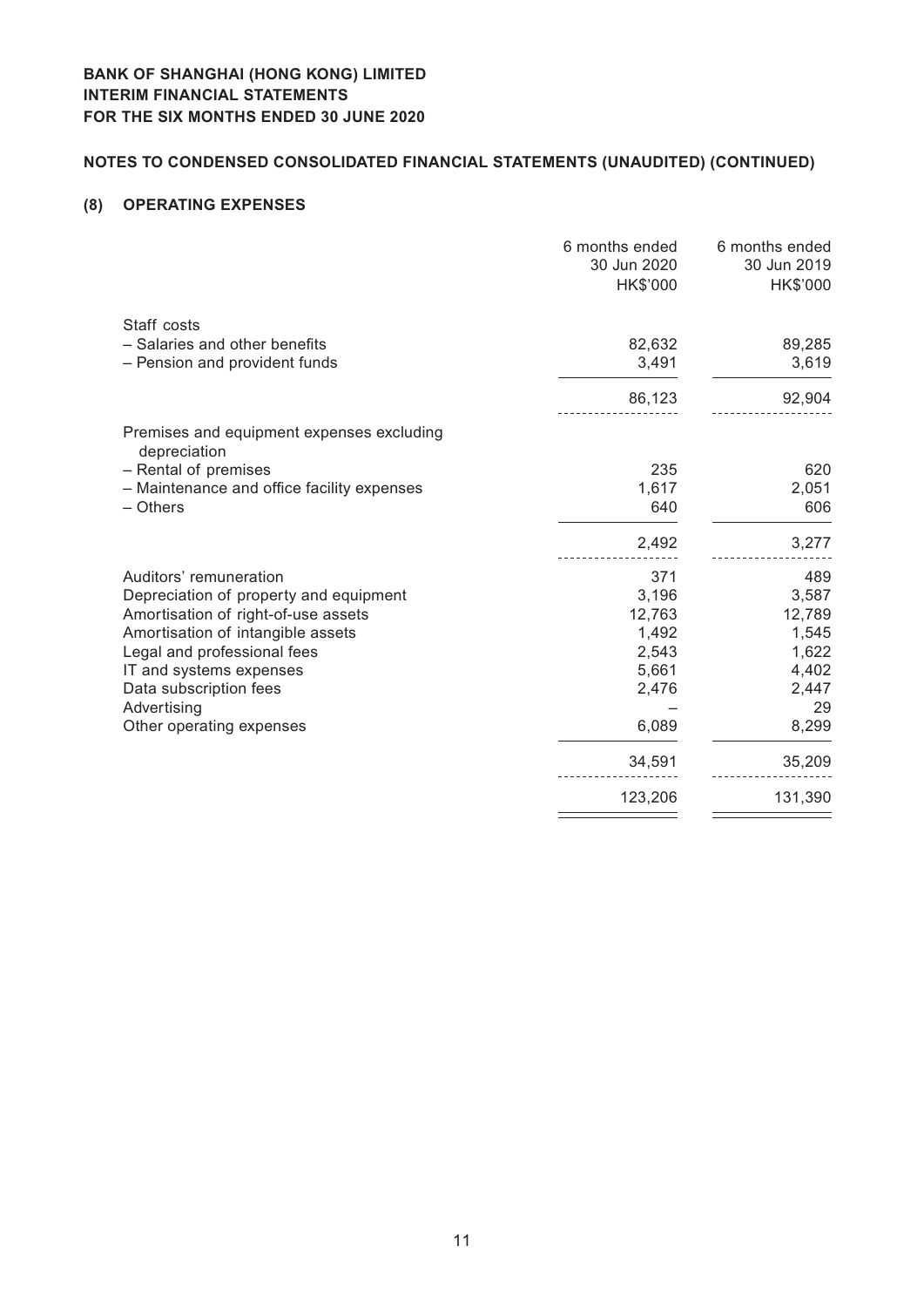# **Notes to Condensed Consolidated Financial Statements (Unaudited) (CONTINUED)**

## **(8) OPERATING EXPENSES**

|                                                           | 6 months ended<br>30 Jun 2020<br>HK\$'000 | 6 months ended<br>30 Jun 2019<br>HK\$'000 |
|-----------------------------------------------------------|-------------------------------------------|-------------------------------------------|
| Staff costs<br>- Salaries and other benefits              | 82,632                                    | 89,285                                    |
| - Pension and provident funds                             | 3,491                                     | 3,619                                     |
|                                                           | 86,123                                    | 92,904                                    |
| Premises and equipment expenses excluding<br>depreciation |                                           |                                           |
| - Rental of premises                                      | 235                                       | 620                                       |
| - Maintenance and office facility expenses                | 1,617                                     | 2,051                                     |
| - Others                                                  | 640                                       | 606                                       |
|                                                           | 2,492                                     | 3,277                                     |
| Auditors' remuneration                                    | 371                                       | 489                                       |
| Depreciation of property and equipment                    | 3,196                                     | 3,587                                     |
| Amortisation of right-of-use assets                       | 12,763                                    | 12,789                                    |
| Amortisation of intangible assets                         | 1,492                                     | 1,545                                     |
| Legal and professional fees                               | 2,543                                     | 1,622                                     |
| IT and systems expenses                                   | 5,661                                     | 4,402                                     |
| Data subscription fees                                    | 2,476                                     | 2,447                                     |
| Advertising                                               |                                           | 29                                        |
| Other operating expenses                                  | 6,089                                     | 8,299                                     |
|                                                           | 34,591                                    | 35,209                                    |
|                                                           | 123,206                                   | 131,390                                   |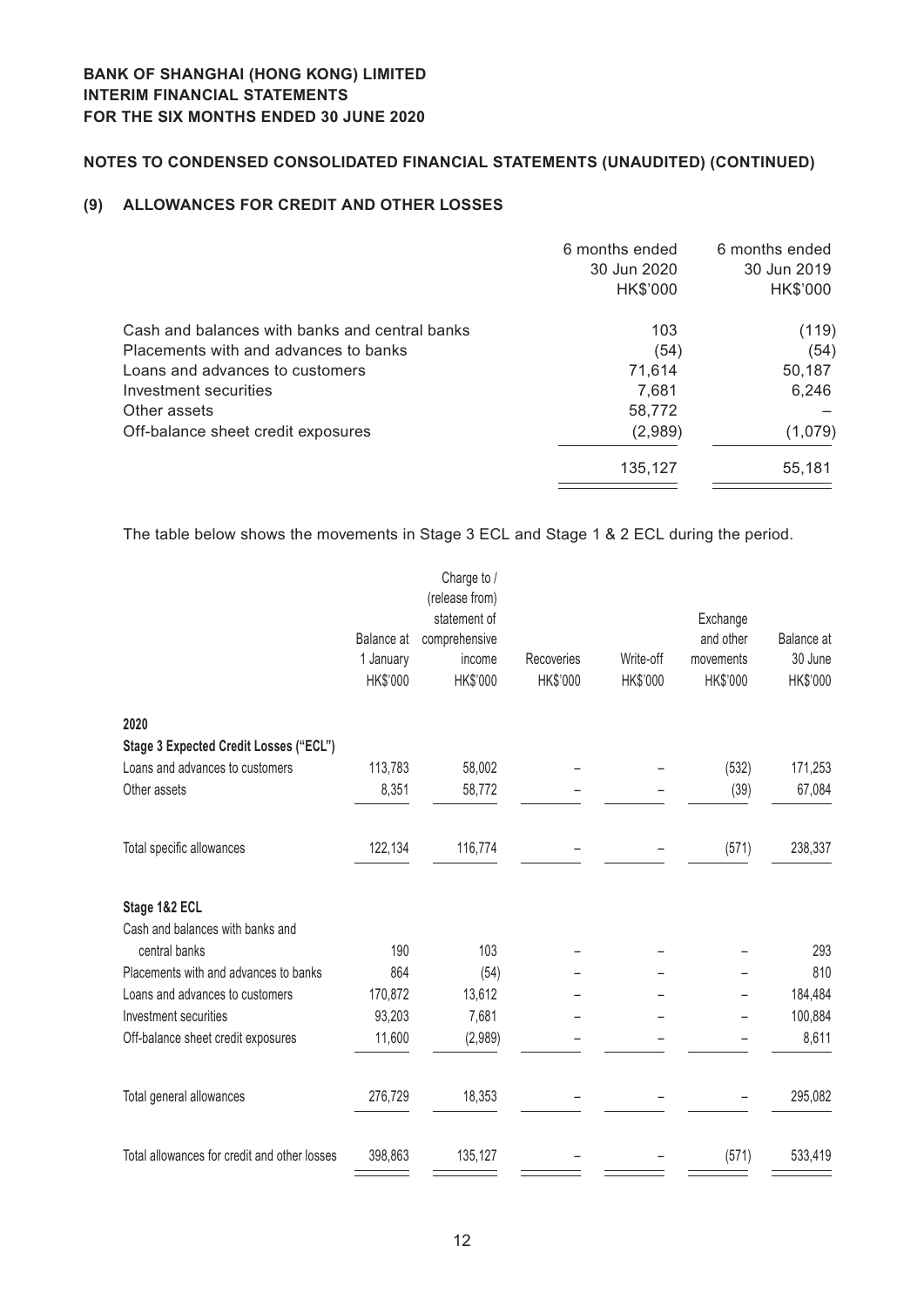# **Notes to Condensed Consolidated Financial Statements (Unaudited) (CONTINUED)**

## **(9) ALLOWANCES FOR CREDIT AND OTHER LOSSES**

|                                                | 6 months ended | 6 months ended |
|------------------------------------------------|----------------|----------------|
|                                                | 30 Jun 2020    | 30 Jun 2019    |
|                                                | HK\$'000       | HK\$'000       |
| Cash and balances with banks and central banks | 103            | (119)          |
| Placements with and advances to banks          | (54)           | (54)           |
| Loans and advances to customers                | 71,614         | 50,187         |
| Investment securities                          | 7,681          | 6,246          |
| Other assets                                   | 58,772         |                |
| Off-balance sheet credit exposures             | (2,989)        | (1,079)        |
|                                                | 135.127        | 55,181         |
|                                                |                |                |

The table below shows the movements in Stage 3 ECL and Stage 1 & 2 ECL during the period.

|                                              |            | Charge to /<br>(release from) |            |           |           |            |
|----------------------------------------------|------------|-------------------------------|------------|-----------|-----------|------------|
|                                              |            | statement of                  |            |           | Exchange  |            |
|                                              | Balance at | comprehensive                 |            |           | and other | Balance at |
|                                              | 1 January  | income                        | Recoveries | Write-off | movements | 30 June    |
|                                              | HK\$'000   | HK\$'000                      | HK\$'000   | HK\$'000  | HK\$'000  | HK\$'000   |
| 2020                                         |            |                               |            |           |           |            |
| Stage 3 Expected Credit Losses ("ECL")       |            |                               |            |           |           |            |
| Loans and advances to customers              | 113,783    | 58,002                        |            |           | (532)     | 171,253    |
| Other assets                                 | 8,351      | 58,772                        |            |           | (39)      | 67,084     |
| Total specific allowances                    | 122,134    | 116,774                       |            |           | (571)     | 238,337    |
| Stage 1&2 ECL                                |            |                               |            |           |           |            |
| Cash and balances with banks and             |            |                               |            |           |           |            |
| central banks                                | 190        | 103                           |            |           |           | 293        |
| Placements with and advances to banks        | 864        | (54)                          |            |           |           | 810        |
| Loans and advances to customers              | 170,872    | 13,612                        |            |           |           | 184,484    |
| Investment securities                        | 93,203     | 7,681                         |            |           |           | 100,884    |
| Off-balance sheet credit exposures           | 11,600     | (2,989)                       |            |           |           | 8,611      |
| Total general allowances                     | 276,729    | 18,353                        |            |           |           | 295,082    |
| Total allowances for credit and other losses | 398,863    | 135,127                       |            |           | (571)     | 533,419    |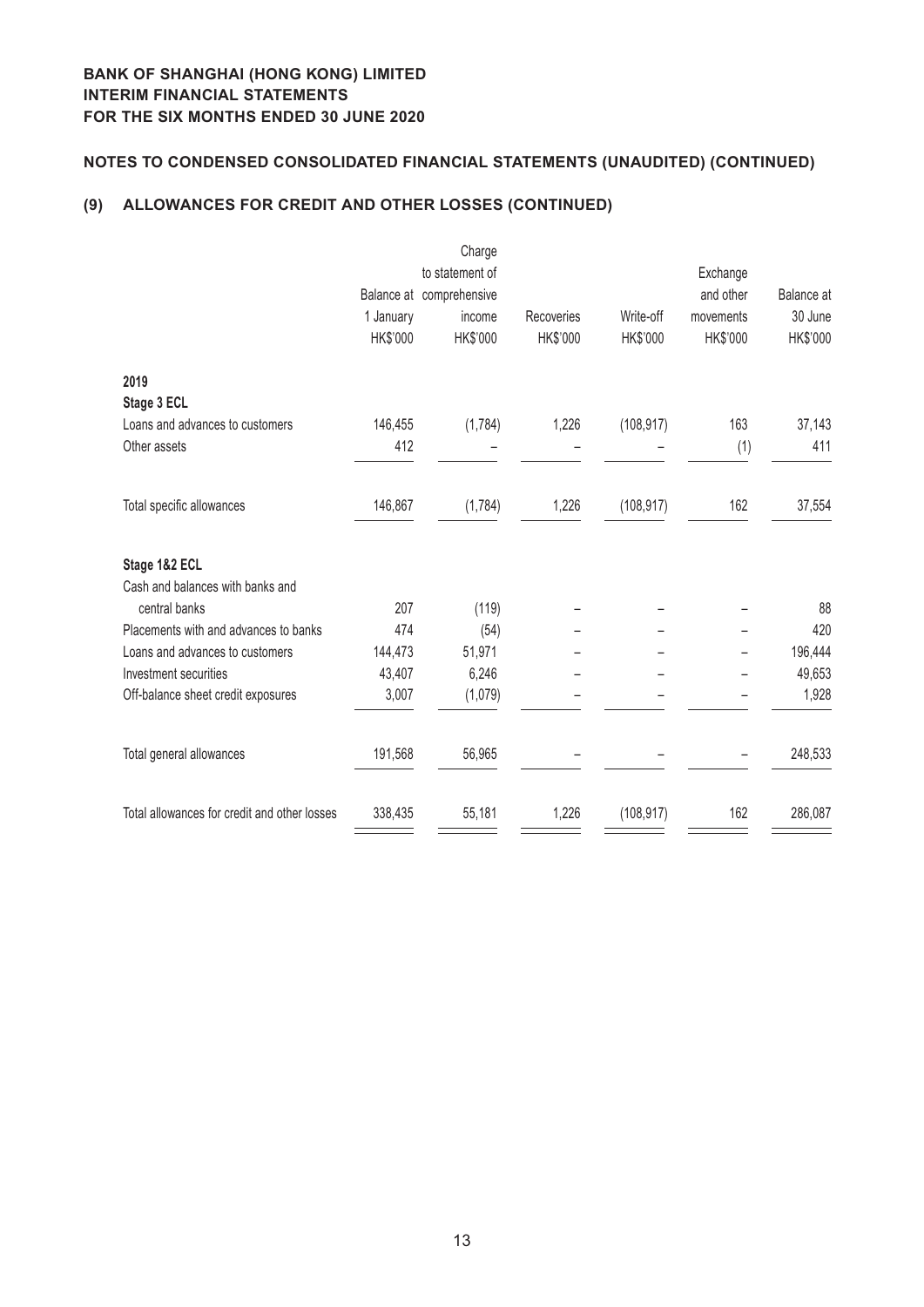# **Notes to Condensed Consolidated Financial Statements (Unaudited) (CONTINUED)**

# **(9) ALLOWANCES FOR CREDIT AND OTHER LOSSES (CONTINUED)**

|                                              |           | Charge                   |            |            |           |                   |
|----------------------------------------------|-----------|--------------------------|------------|------------|-----------|-------------------|
|                                              |           | to statement of          |            |            | Exchange  |                   |
|                                              |           | Balance at comprehensive |            |            | and other | <b>Balance</b> at |
|                                              | 1 January | income                   | Recoveries | Write-off  | movements | 30 June           |
|                                              | HK\$'000  | HK\$'000                 | HK\$'000   | HK\$'000   | HK\$'000  | HK\$'000          |
| 2019                                         |           |                          |            |            |           |                   |
| Stage 3 ECL                                  |           |                          |            |            |           |                   |
| Loans and advances to customers              | 146,455   | (1,784)                  | 1,226      | (108, 917) | 163       | 37,143            |
| Other assets                                 | 412       |                          |            |            | (1)       | 411               |
| Total specific allowances                    | 146,867   | (1,784)                  | 1,226      | (108, 917) | 162       | 37,554            |
| Stage 1&2 ECL                                |           |                          |            |            |           |                   |
| Cash and balances with banks and             |           |                          |            |            |           |                   |
| central banks                                | 207       | (119)                    |            |            |           | 88                |
| Placements with and advances to banks        | 474       | (54)                     |            |            |           | 420               |
| Loans and advances to customers              | 144,473   | 51,971                   |            |            |           | 196,444           |
| Investment securities                        | 43,407    | 6,246                    |            |            |           | 49,653            |
| Off-balance sheet credit exposures           | 3,007     | (1,079)                  |            |            |           | 1,928             |
| Total general allowances                     | 191,568   | 56,965                   |            |            |           | 248,533           |
| Total allowances for credit and other losses | 338,435   | 55,181                   | 1,226      | (108, 917) | 162       | 286,087           |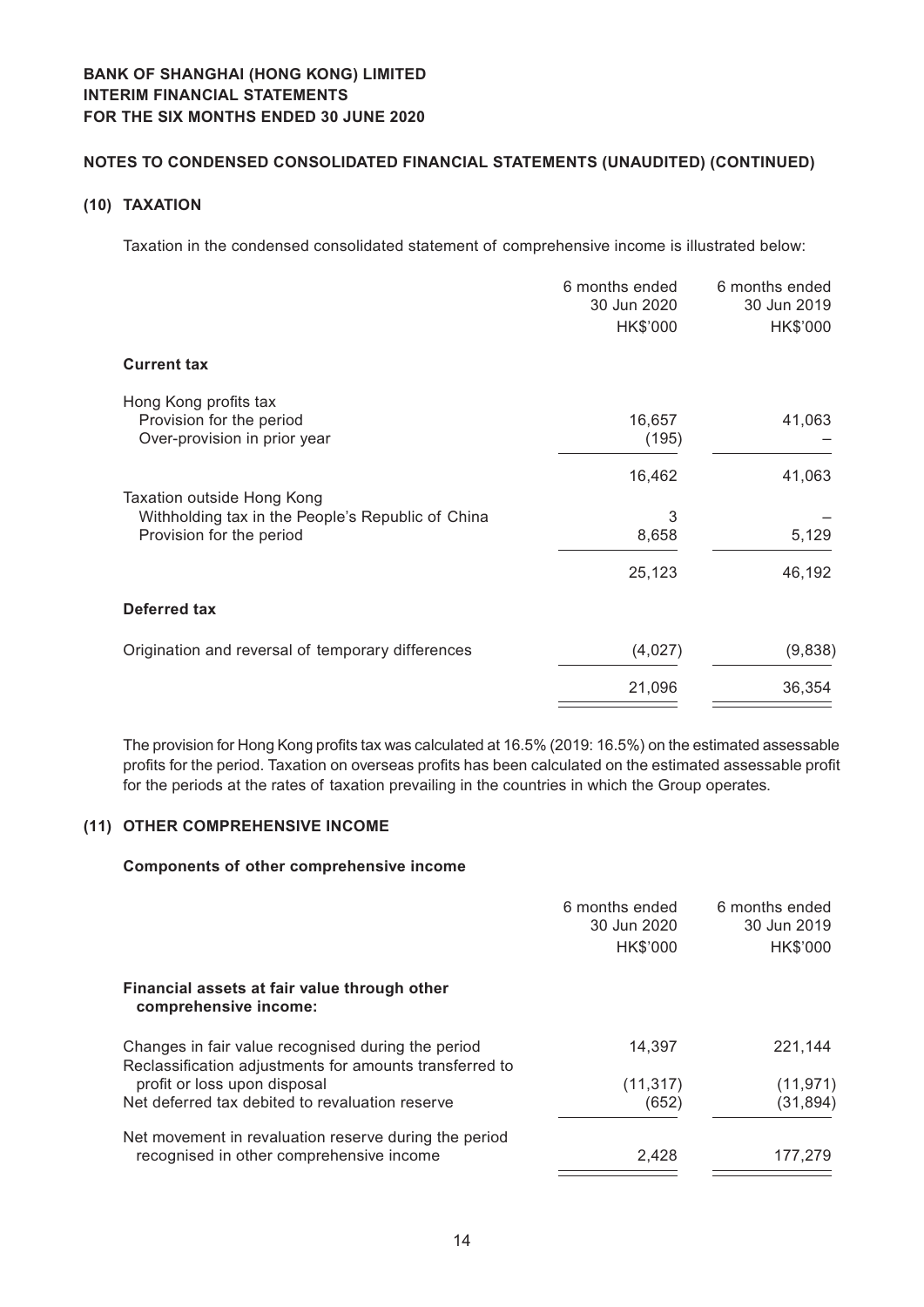## **Notes to Condensed Consolidated Financial Statements (Unaudited) (CONTINUED)**

## **(10) TAXATION**

Taxation in the condensed consolidated statement of comprehensive income is illustrated below:

|                                                                                                             | 6 months ended<br>30 Jun 2020<br>HK\$'000 | 6 months ended<br>30 Jun 2019<br>HK\$'000 |
|-------------------------------------------------------------------------------------------------------------|-------------------------------------------|-------------------------------------------|
| <b>Current tax</b>                                                                                          |                                           |                                           |
| Hong Kong profits tax<br>Provision for the period<br>Over-provision in prior year                           | 16,657<br>(195)                           | 41,063                                    |
| Taxation outside Hong Kong<br>Withholding tax in the People's Republic of China<br>Provision for the period | 16,462<br>3<br>8,658                      | 41,063<br>5,129                           |
|                                                                                                             | 25,123                                    | 46,192                                    |
| <b>Deferred tax</b>                                                                                         |                                           |                                           |
| Origination and reversal of temporary differences                                                           | (4,027)                                   | (9,838)                                   |
|                                                                                                             | 21,096                                    | 36,354                                    |

The provision for Hong Kong profits tax was calculated at 16.5% (2019: 16.5%) on the estimated assessable profits for the period. Taxation on overseas profits has been calculated on the estimated assessable profit for the periods at the rates of taxation prevailing in the countries in which the Group operates.

## **(11) OTHER COMPREHENSIVE INCOME**

#### **Components of other comprehensive income**

|                                                                                                               | 6 months ended<br>30 Jun 2020 | 6 months ended<br>30 Jun 2019 |
|---------------------------------------------------------------------------------------------------------------|-------------------------------|-------------------------------|
|                                                                                                               | HK\$'000                      | HK\$'000                      |
| Financial assets at fair value through other<br>comprehensive income:                                         |                               |                               |
| Changes in fair value recognised during the period<br>Reclassification adjustments for amounts transferred to | 14,397                        | 221,144                       |
| profit or loss upon disposal                                                                                  | (11, 317)                     | (11, 971)                     |
| Net deferred tax debited to revaluation reserve                                                               | (652)                         | (31, 894)                     |
| Net movement in revaluation reserve during the period                                                         |                               |                               |
| recognised in other comprehensive income                                                                      | 2,428                         | 177,279                       |
|                                                                                                               |                               |                               |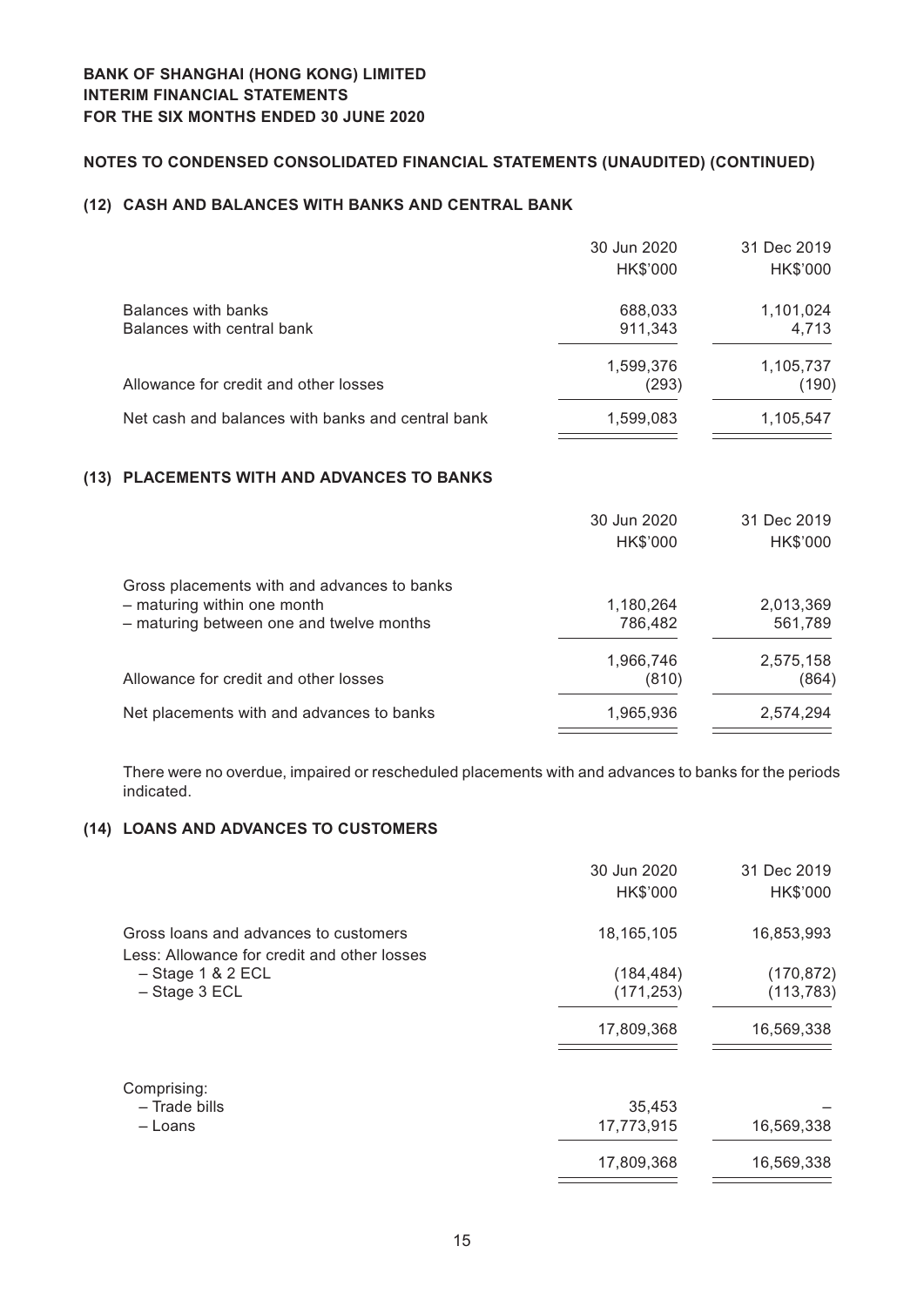## **Notes to Condensed Consolidated Financial Statements (Unaudited) (CONTINUED)**

## **(12) CASH AND BALANCES WITH BANKS AND CENTRAL BANK**

|                                                   | 30 Jun 2020 | 31 Dec 2019 |
|---------------------------------------------------|-------------|-------------|
|                                                   | HK\$'000    | HK\$'000    |
| Balances with banks                               | 688,033     | 1,101,024   |
| Balances with central bank                        | 911,343     | 4,713       |
|                                                   | 1,599,376   | 1,105,737   |
| Allowance for credit and other losses             | (293)       | (190)       |
| Net cash and balances with banks and central bank | 1,599,083   | 1,105,547   |
|                                                   |             |             |

## **(13) PLACEMENTS WITH AND ADVANCES TO BANKS**

|                                             | 30 Jun 2020 | 31 Dec 2019 |
|---------------------------------------------|-------------|-------------|
|                                             | HK\$'000    | HK\$'000    |
| Gross placements with and advances to banks |             |             |
| - maturing within one month                 | 1,180,264   | 2,013,369   |
| - maturing between one and twelve months    | 786,482     | 561,789     |
|                                             | 1,966,746   | 2,575,158   |
| Allowance for credit and other losses       | (810)       | (864)       |
| Net placements with and advances to banks   | 1,965,936   | 2,574,294   |

There were no overdue, impaired or rescheduled placements with and advances to banks for the periods indicated.

## **(14) LOANS AND ADVANCES TO CUSTOMERS**

|                                                                                      | 30 Jun 2020<br>HK\$'000 | 31 Dec 2019<br>HK\$'000 |
|--------------------------------------------------------------------------------------|-------------------------|-------------------------|
| Gross loans and advances to customers<br>Less: Allowance for credit and other losses | 18, 165, 105            | 16,853,993              |
| $-$ Stage 1 & 2 ECL                                                                  | (184, 484)              | (170, 872)              |
| $-$ Stage 3 ECL                                                                      | (171, 253)              | (113, 783)              |
|                                                                                      | 17,809,368              | 16,569,338              |
| Comprising:                                                                          |                         |                         |
| - Trade bills                                                                        | 35,453                  |                         |
| – Loans                                                                              | 17,773,915              | 16,569,338              |
|                                                                                      | 17,809,368              | 16,569,338              |
|                                                                                      |                         |                         |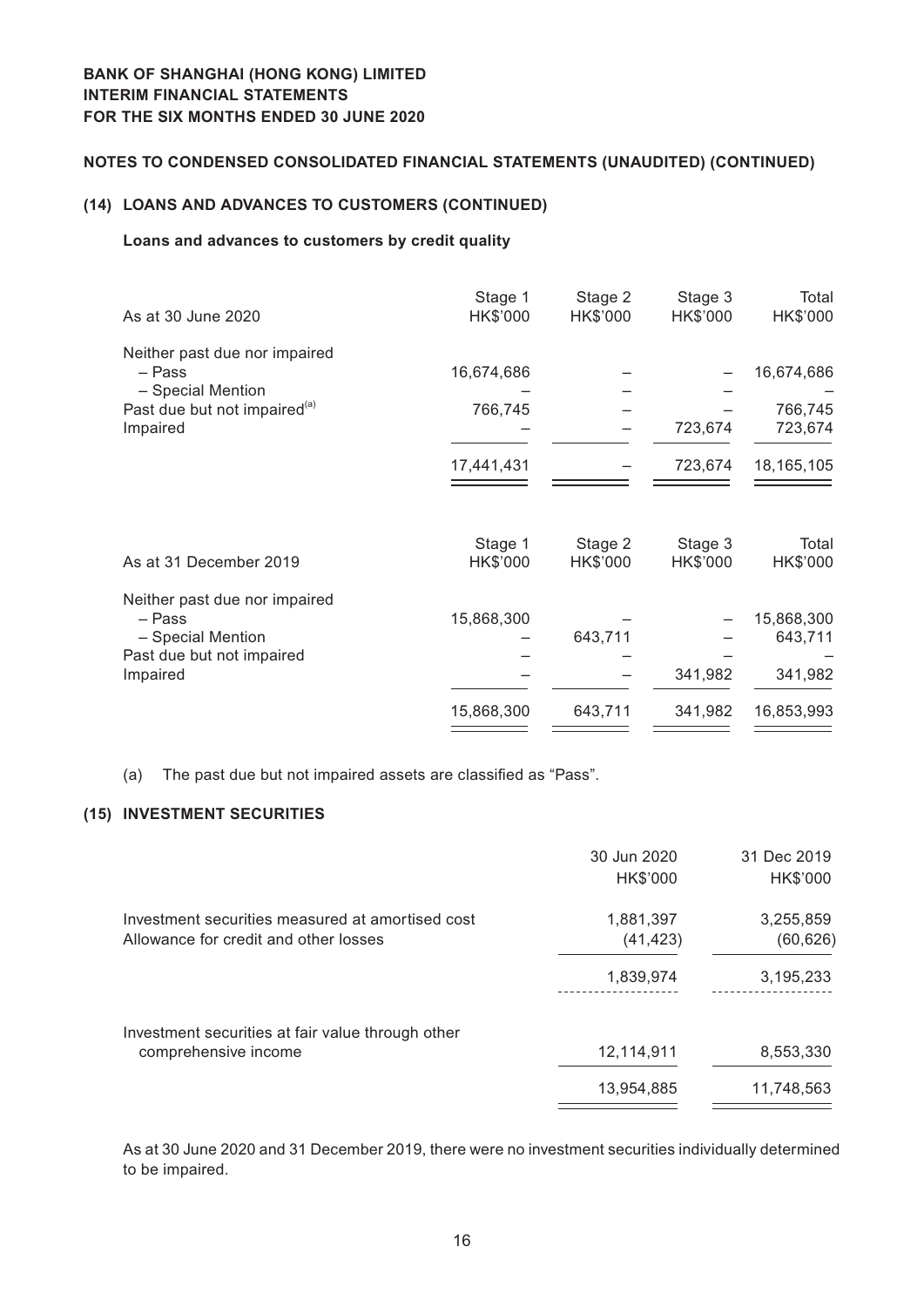## **Notes to Condensed Consolidated Financial Statements (Unaudited) (CONTINUED)**

## **(14) LOANS AND ADVANCES TO CUSTOMERS (CONTINUED)**

## **Loans and advances to customers by credit quality**

| As at 30 June 2020                                            | Stage 1<br>HK\$'000 | Stage 2<br>HK\$'000 | Stage 3<br>HK\$'000 | Total<br>HK\$'000 |
|---------------------------------------------------------------|---------------------|---------------------|---------------------|-------------------|
| Neither past due nor impaired                                 |                     |                     |                     |                   |
| – Pass                                                        | 16,674,686          |                     |                     | 16,674,686        |
| - Special Mention<br>Past due but not impaired <sup>(a)</sup> | 766,745             |                     |                     | 766,745           |
| Impaired                                                      |                     |                     | 723,674             | 723,674           |
|                                                               | 17,441,431          |                     | 723,674             | 18, 165, 105      |
|                                                               |                     |                     |                     |                   |
|                                                               | Stage 1             | Stage 2             | Stage 3             | Total             |
| As at 31 December 2019                                        | HK\$'000            | HK\$'000            | HK\$'000            | HK\$'000          |
| Neither past due nor impaired                                 |                     |                     |                     |                   |
| – Pass                                                        | 15,868,300          |                     |                     | 15,868,300        |
| - Special Mention                                             |                     | 643,711             |                     | 643,711           |
| Past due but not impaired                                     |                     |                     |                     |                   |
| Impaired                                                      |                     |                     | 341,982             | 341,982           |
|                                                               | 15,868,300          | 643,711             | 341,982             | 16,853,993        |
|                                                               |                     |                     |                     |                   |

(a) The past due but not impaired assets are classified as "Pass".

## **(15) INVESTMENT SECURITIES**

|                                                                                           | 30 Jun 2020<br>HK\$'000 | 31 Dec 2019<br>HK\$'000 |
|-------------------------------------------------------------------------------------------|-------------------------|-------------------------|
| Investment securities measured at amortised cost<br>Allowance for credit and other losses | 1,881,397<br>(41, 423)  | 3,255,859<br>(60, 626)  |
|                                                                                           | 1,839,974               | 3,195,233               |
| Investment securities at fair value through other<br>comprehensive income                 | 12,114,911              | 8,553,330               |
|                                                                                           | 13,954,885              | 11,748,563              |

As at 30 June 2020 and 31 December 2019, there were no investment securities individually determined to be impaired.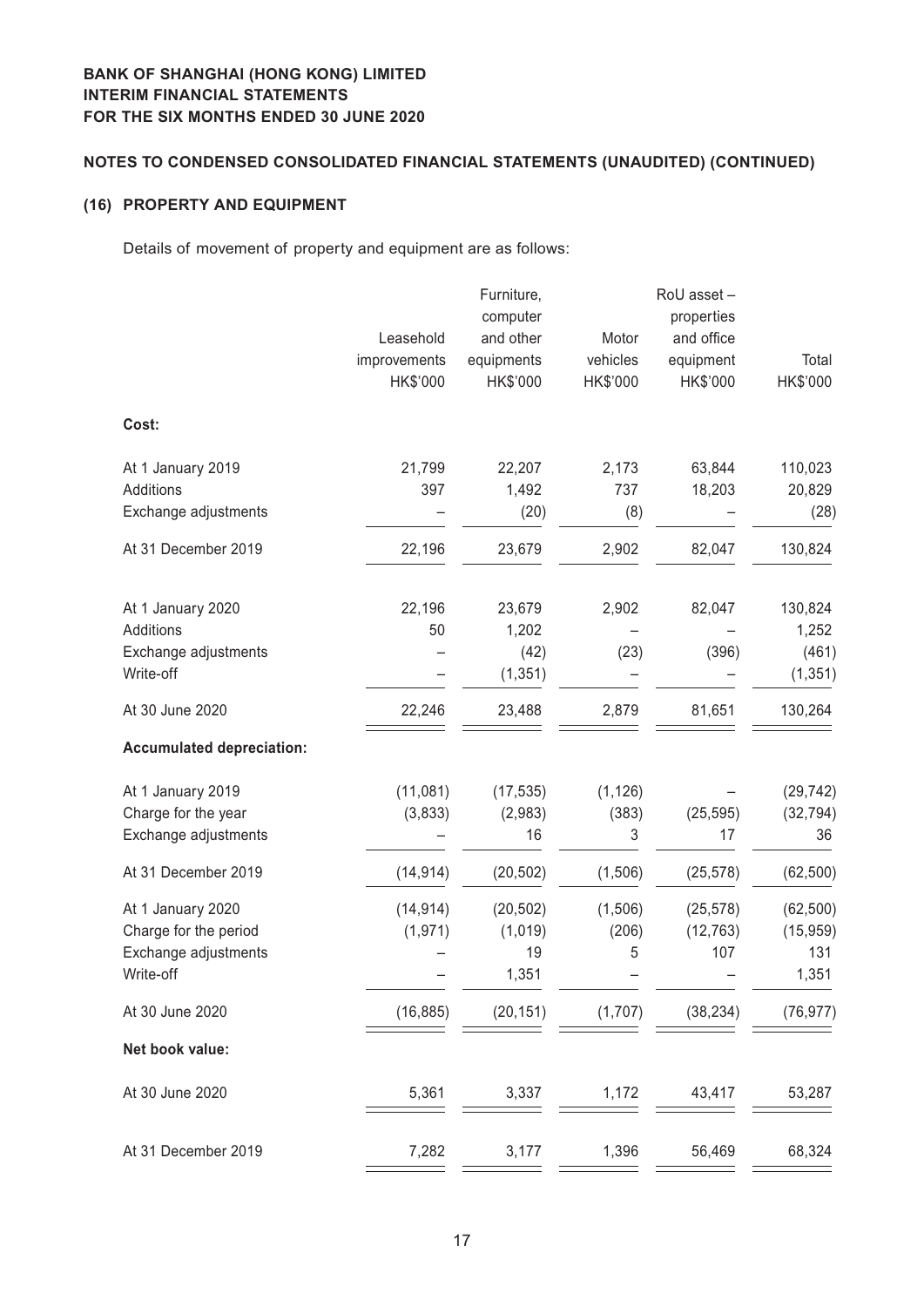# **Notes to Condensed Consolidated Financial Statements (Unaudited) (CONTINUED)**

## **(16) PROPERTY AND EQUIPMENT**

Details of movement of property and equipment are as follows:

|                                  | Leasehold<br>improvements | Furniture,<br>computer<br>and other<br>equipments | Motor<br>vehicles | RoU asset -<br>properties<br>and office<br>equipment | Total     |
|----------------------------------|---------------------------|---------------------------------------------------|-------------------|------------------------------------------------------|-----------|
|                                  | HK\$'000                  | HK\$'000                                          | HK\$'000          | HK\$'000                                             | HK\$'000  |
| Cost:                            |                           |                                                   |                   |                                                      |           |
| At 1 January 2019                | 21,799                    | 22,207                                            | 2,173             | 63,844                                               | 110,023   |
| Additions                        | 397                       | 1,492                                             | 737               | 18,203                                               | 20,829    |
| Exchange adjustments             |                           | (20)                                              | (8)               |                                                      | (28)      |
| At 31 December 2019              | 22,196                    | 23,679                                            | 2,902             | 82,047                                               | 130,824   |
| At 1 January 2020                | 22,196                    | 23,679                                            | 2,902             | 82,047                                               | 130,824   |
| <b>Additions</b>                 | 50                        | 1,202                                             |                   |                                                      | 1,252     |
| Exchange adjustments             |                           | (42)                                              | (23)              | (396)                                                | (461)     |
| Write-off                        |                           | (1, 351)                                          |                   |                                                      | (1, 351)  |
| At 30 June 2020                  | 22,246                    | 23,488                                            | 2,879             | 81,651                                               | 130,264   |
| <b>Accumulated depreciation:</b> |                           |                                                   |                   |                                                      |           |
| At 1 January 2019                | (11,081)                  | (17, 535)                                         | (1, 126)          |                                                      | (29, 742) |
| Charge for the year              | (3,833)                   | (2,983)                                           | (383)             | (25, 595)                                            | (32, 794) |
| Exchange adjustments             |                           | 16                                                | 3                 | 17                                                   | 36        |
| At 31 December 2019              | (14, 914)                 | (20, 502)                                         | (1,506)           | (25, 578)                                            | (62, 500) |
| At 1 January 2020                | (14, 914)                 | (20, 502)                                         | (1, 506)          | (25, 578)                                            | (62, 500) |
| Charge for the period            | (1, 971)                  | (1,019)                                           | (206)             | (12, 763)                                            | (15, 959) |
| Exchange adjustments             |                           | 19                                                | 5                 | 107                                                  | 131       |
| Write-off                        |                           | 1,351                                             |                   |                                                      | 1,351     |
| At 30 June 2020                  | (16, 885)                 | (20, 151)                                         | (1,707)           | (38, 234)                                            | (76, 977) |
| Net book value:                  |                           |                                                   |                   |                                                      |           |
| At 30 June 2020                  | 5,361                     | 3,337                                             | 1,172             | 43,417                                               | 53,287    |
| At 31 December 2019              | 7,282                     | 3,177                                             | 1,396             | 56,469                                               | 68,324    |
|                                  |                           |                                                   |                   |                                                      |           |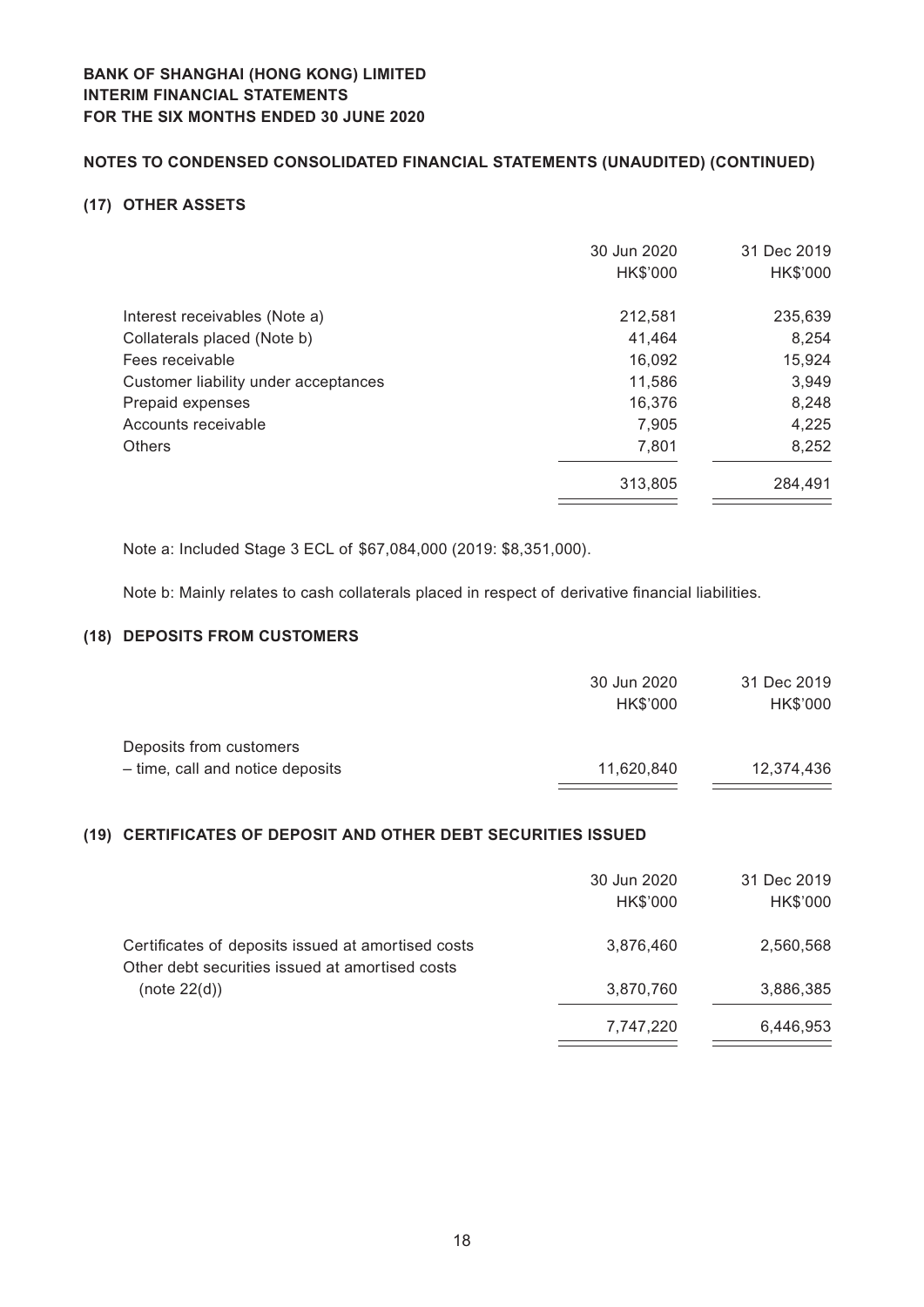# **Notes to Condensed Consolidated Financial Statements (Unaudited) (CONTINUED)**

#### **(17) OTHER ASSETS**

|                                      | 30 Jun 2020<br>HK\$'000 | 31 Dec 2019<br>HK\$'000 |
|--------------------------------------|-------------------------|-------------------------|
| Interest receivables (Note a)        | 212,581                 | 235,639                 |
| Collaterals placed (Note b)          | 41,464                  | 8,254                   |
| Fees receivable                      | 16,092                  | 15,924                  |
| Customer liability under acceptances | 11,586                  | 3,949                   |
| Prepaid expenses                     | 16,376                  | 8,248                   |
| Accounts receivable                  | 7,905                   | 4,225                   |
| <b>Others</b>                        | 7,801                   | 8,252                   |
|                                      | 313,805                 | 284,491                 |

Note a: Included Stage 3 ECL of \$67,084,000 (2019: \$8,351,000).

Note b: Mainly relates to cash collaterals placed in respect of derivative financial liabilities.

## **(18) DEPOSITS FROM CUSTOMERS**

|                                  | 30 Jun 2020 | 31 Dec 2019 |
|----------------------------------|-------------|-------------|
|                                  | HK\$'000    | HK\$'000    |
| Deposits from customers          |             |             |
| - time, call and notice deposits | 11,620,840  | 12.374.436  |

# **(19) CERTIFICATES OF DEPOSIT AND OTHER DEBT SECURITIES ISSUED**

|                                                                                                       | 30 Jun 2020<br>HK\$'000 | 31 Dec 2019<br>HK\$'000 |
|-------------------------------------------------------------------------------------------------------|-------------------------|-------------------------|
| Certificates of deposits issued at amortised costs<br>Other debt securities issued at amortised costs | 3,876,460               | 2,560,568               |
| (note 22(d))                                                                                          | 3,870,760               | 3,886,385               |
|                                                                                                       | 7,747,220               | 6,446,953               |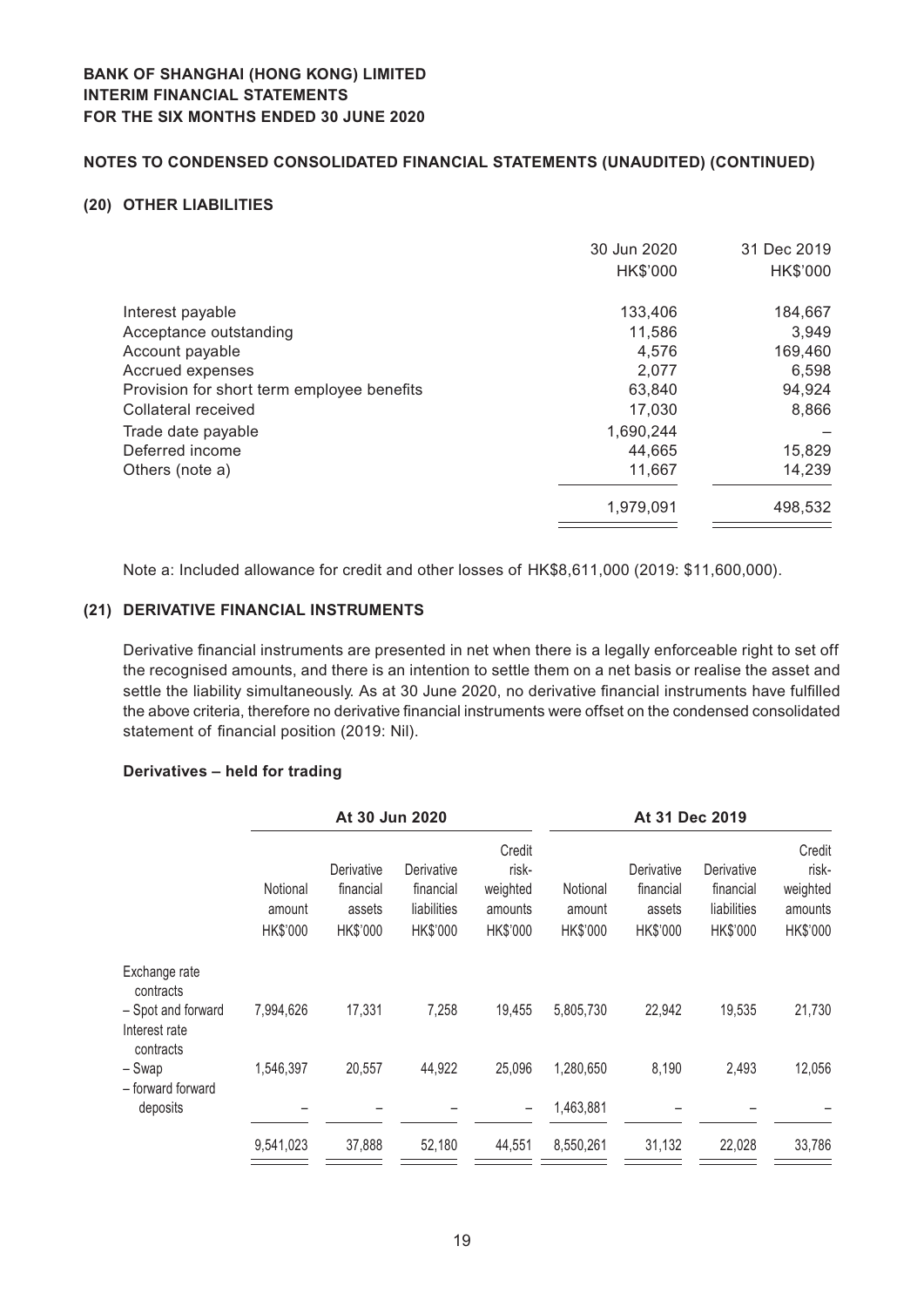## **Notes to Condensed Consolidated Financial Statements (Unaudited) (CONTINUED)**

#### **(20) OTHER LIABILITIES**

| 30 Jun 2020<br>HK\$'000 | 31 Dec 2019<br>HK\$'000 |
|-------------------------|-------------------------|
| 133,406                 | 184,667                 |
|                         | 3,949                   |
| 4.576                   | 169,460                 |
| 2,077                   | 6,598                   |
| 63,840                  | 94,924                  |
| 17,030                  | 8,866                   |
| 1,690,244               |                         |
| 44,665                  | 15,829                  |
| 11,667                  | 14,239                  |
| 1,979,091               | 498.532                 |
|                         | 11.586                  |

Note a: Included allowance for credit and other losses of HK\$8,611,000 (2019: \$11,600,000).

## **(21) DERIVATIVE FINANCIAL INSTRUMENTS**

Derivative financial instruments are presented in net when there is a legally enforceable right to set off the recognised amounts, and there is an intention to settle them on a net basis or realise the asset and settle the liability simultaneously. As at 30 June 2020, no derivative financial instruments have fulfilled the above criteria, therefore no derivative financial instruments were offset on the condensed consolidated statement of financial position (2019: Nil).

#### **Derivatives – held for trading**

|                                                  |           | At 30 Jun 2020 |             |          |           | At 31 Dec 2019 |             |          |
|--------------------------------------------------|-----------|----------------|-------------|----------|-----------|----------------|-------------|----------|
|                                                  |           |                |             | Credit   |           |                |             | Credit   |
|                                                  |           | Derivative     | Derivative  | risk-    |           | Derivative     | Derivative  | risk-    |
|                                                  | Notional  | financial      | financial   | weighted | Notional  | financial      | financial   | weighted |
|                                                  | amount    | assets         | liabilities | amounts  | amount    | assets         | liabilities | amounts  |
|                                                  | HK\$'000  | HK\$'000       | HK\$'000    | HK\$'000 | HK\$'000  | HK\$'000       | HK\$'000    | HK\$'000 |
| Exchange rate<br>contracts                       |           |                |             |          |           |                |             |          |
| - Spot and forward<br>Interest rate<br>contracts | 7,994,626 | 17,331         | 7,258       | 19,455   | 5,805,730 | 22,942         | 19,535      | 21,730   |
| – Swap<br>- forward forward                      | 1,546,397 | 20,557         | 44,922      | 25,096   | 1,280,650 | 8,190          | 2,493       | 12,056   |
| deposits                                         |           |                |             | -        | 1,463,881 |                |             |          |
|                                                  | 9,541,023 | 37,888         | 52,180      | 44,551   | 8,550,261 | 31,132         | 22,028      | 33,786   |
|                                                  |           |                |             |          |           |                |             |          |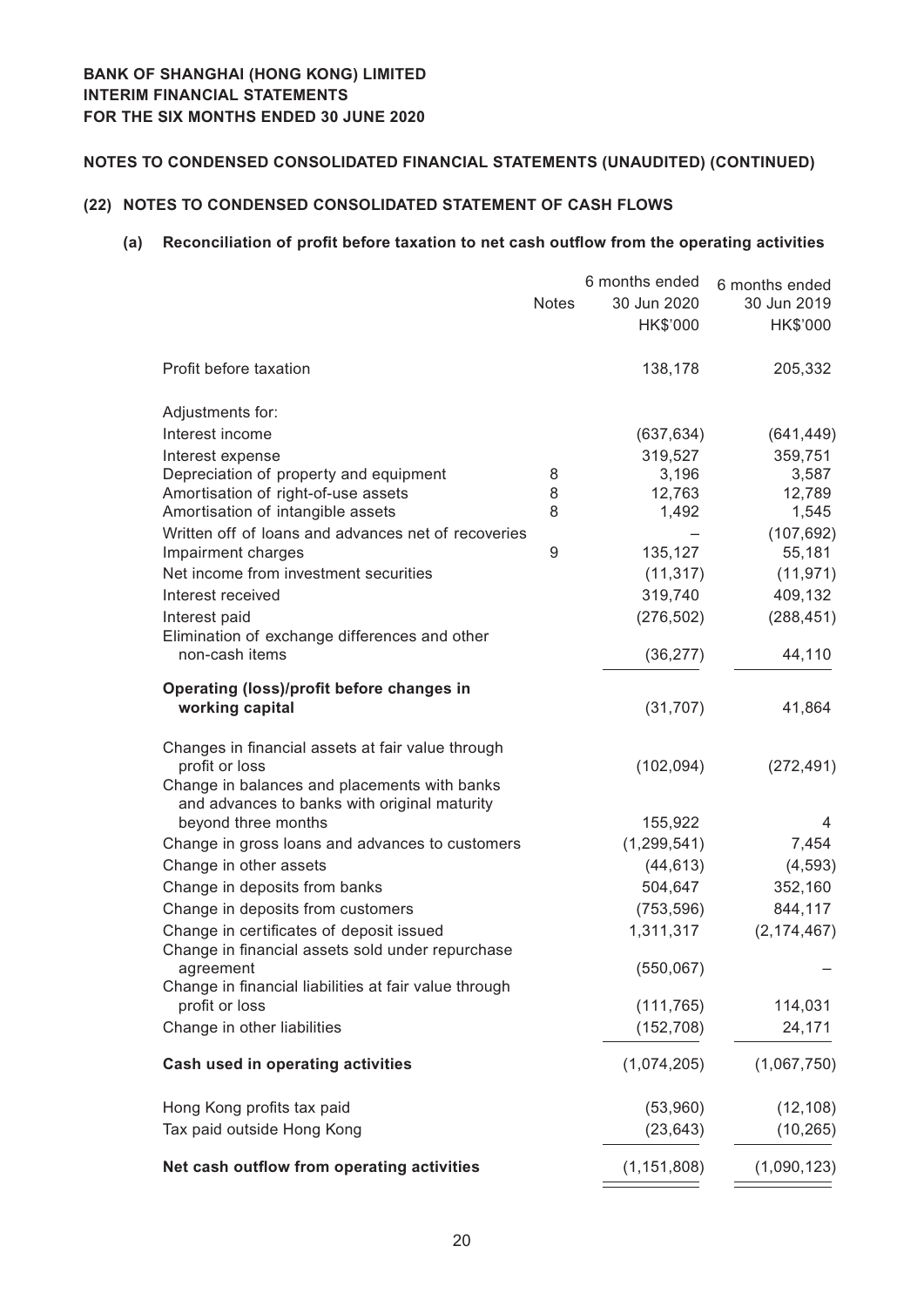## **(22) NOTES TO CONDENSED CONSOLIDATED STATEMENT OF CASH FLOWS**

#### **(a) Reconciliation of profit before taxation to net cash outflow from the operating activities**

|                                                                                                                     | <b>Notes</b> | 6 months ended<br>30 Jun 2020<br>HK\$'000 | 6 months ended<br>30 Jun 2019<br>HK\$'000 |
|---------------------------------------------------------------------------------------------------------------------|--------------|-------------------------------------------|-------------------------------------------|
| Profit before taxation                                                                                              |              | 138,178                                   | 205,332                                   |
| Adjustments for:                                                                                                    |              |                                           |                                           |
| Interest income                                                                                                     |              | (637, 634)                                | (641, 449)                                |
| Interest expense                                                                                                    |              | 319,527                                   | 359,751                                   |
| Depreciation of property and equipment                                                                              | 8            | 3,196                                     | 3,587                                     |
| Amortisation of right-of-use assets                                                                                 | 8            | 12,763                                    | 12,789                                    |
| Amortisation of intangible assets                                                                                   | 8            | 1,492                                     | 1,545                                     |
| Written off of loans and advances net of recoveries                                                                 |              |                                           | (107, 692)                                |
| Impairment charges                                                                                                  | 9            | 135,127                                   | 55,181                                    |
| Net income from investment securities                                                                               |              | (11, 317)                                 | (11, 971)                                 |
| Interest received                                                                                                   |              | 319,740                                   | 409,132                                   |
| Interest paid                                                                                                       |              | (276, 502)                                | (288, 451)                                |
| Elimination of exchange differences and other<br>non-cash items                                                     |              | (36, 277)                                 | 44,110                                    |
| Operating (loss)/profit before changes in<br>working capital                                                        |              | (31, 707)                                 | 41,864                                    |
| Changes in financial assets at fair value through<br>profit or loss<br>Change in balances and placements with banks |              | (102, 094)                                | (272, 491)                                |
| and advances to banks with original maturity<br>beyond three months                                                 |              | 155,922                                   | 4                                         |
| Change in gross loans and advances to customers                                                                     |              | (1, 299, 541)                             | 7,454                                     |
| Change in other assets                                                                                              |              | (44, 613)                                 | (4, 593)                                  |
| Change in deposits from banks                                                                                       |              | 504,647                                   |                                           |
|                                                                                                                     |              |                                           | 352,160                                   |
| Change in deposits from customers                                                                                   |              | (753, 596)                                | 844,117                                   |
| Change in certificates of deposit issued<br>Change in financial assets sold under repurchase                        |              | 1,311,317                                 | (2, 174, 467)                             |
| agreement<br>Change in financial liabilities at fair value through                                                  |              | (550,067)                                 |                                           |
| profit or loss                                                                                                      |              | (111, 765)                                | 114,031                                   |
| Change in other liabilities                                                                                         |              | (152, 708)                                | 24,171                                    |
| <b>Cash used in operating activities</b>                                                                            |              | (1,074,205)                               | (1,067,750)                               |
| Hong Kong profits tax paid                                                                                          |              | (53,960)                                  | (12, 108)                                 |
| Tax paid outside Hong Kong                                                                                          |              | (23, 643)                                 | (10, 265)                                 |
| Net cash outflow from operating activities                                                                          |              | (1, 151, 808)                             | (1,090,123)                               |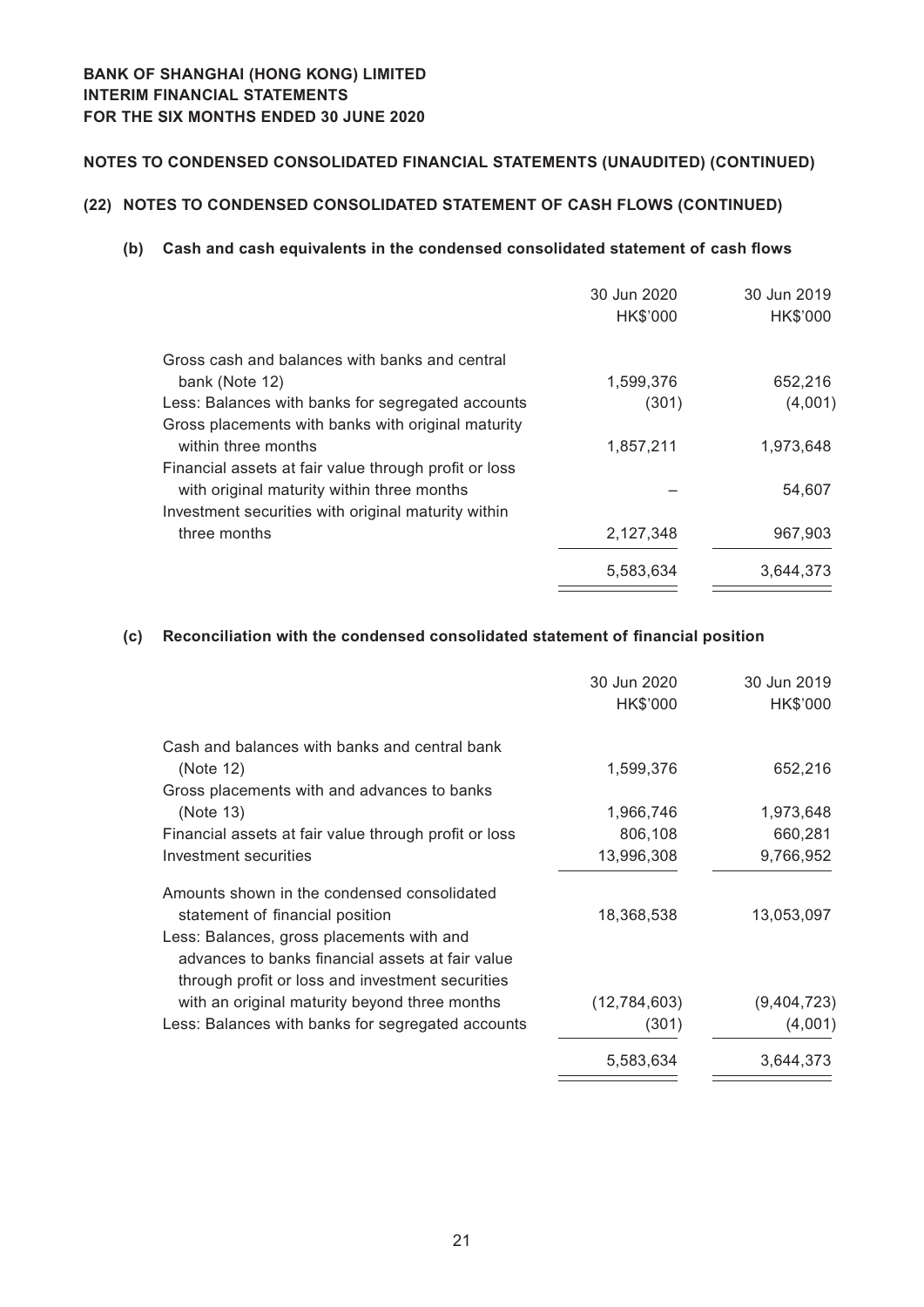# **Notes to Condensed Consolidated Financial Statements (Unaudited) (CONTINUED)**

# **(22) NOTES TO CONDENSED CONSOLIDATED STATEMENT OF CASH FLOWS (CONTINUED)**

#### **(b) Cash and cash equivalents in the condensed consolidated statement of cash flows**

|                                                       | 30 Jun 2020<br>HK\$'000 | 30 Jun 2019<br>HK\$'000 |
|-------------------------------------------------------|-------------------------|-------------------------|
| Gross cash and balances with banks and central        |                         |                         |
| bank (Note 12)                                        | 1,599,376               | 652,216                 |
| Less: Balances with banks for segregated accounts     | (301)                   | (4,001)                 |
| Gross placements with banks with original maturity    |                         |                         |
| within three months                                   | 1,857,211               | 1,973,648               |
| Financial assets at fair value through profit or loss |                         |                         |
| with original maturity within three months            |                         | 54,607                  |
| Investment securities with original maturity within   |                         |                         |
| three months                                          | 2,127,348               | 967,903                 |
|                                                       | 5,583,634               | 3,644,373               |

## **(c) Reconciliation with the condensed consolidated statement of financial position**

|                                                       | 30 Jun 2020<br>HK\$'000 | 30 Jun 2019<br>HK\$'000 |
|-------------------------------------------------------|-------------------------|-------------------------|
| Cash and balances with banks and central bank         |                         |                         |
| (Note 12)                                             | 1,599,376               | 652,216                 |
| Gross placements with and advances to banks           |                         |                         |
| (Note 13)                                             | 1,966,746               | 1,973,648               |
| Financial assets at fair value through profit or loss | 806,108                 | 660,281                 |
| Investment securities                                 | 13,996,308              | 9,766,952               |
| Amounts shown in the condensed consolidated           |                         |                         |
| statement of financial position                       | 18,368,538              | 13,053,097              |
| Less: Balances, gross placements with and             |                         |                         |
| advances to banks financial assets at fair value      |                         |                         |
| through profit or loss and investment securities      |                         |                         |
| with an original maturity beyond three months         | (12, 784, 603)          | (9,404,723)             |
| Less: Balances with banks for segregated accounts     | (301)                   | (4,001)                 |
|                                                       |                         |                         |
|                                                       | 5,583,634               | 3,644,373               |
|                                                       |                         |                         |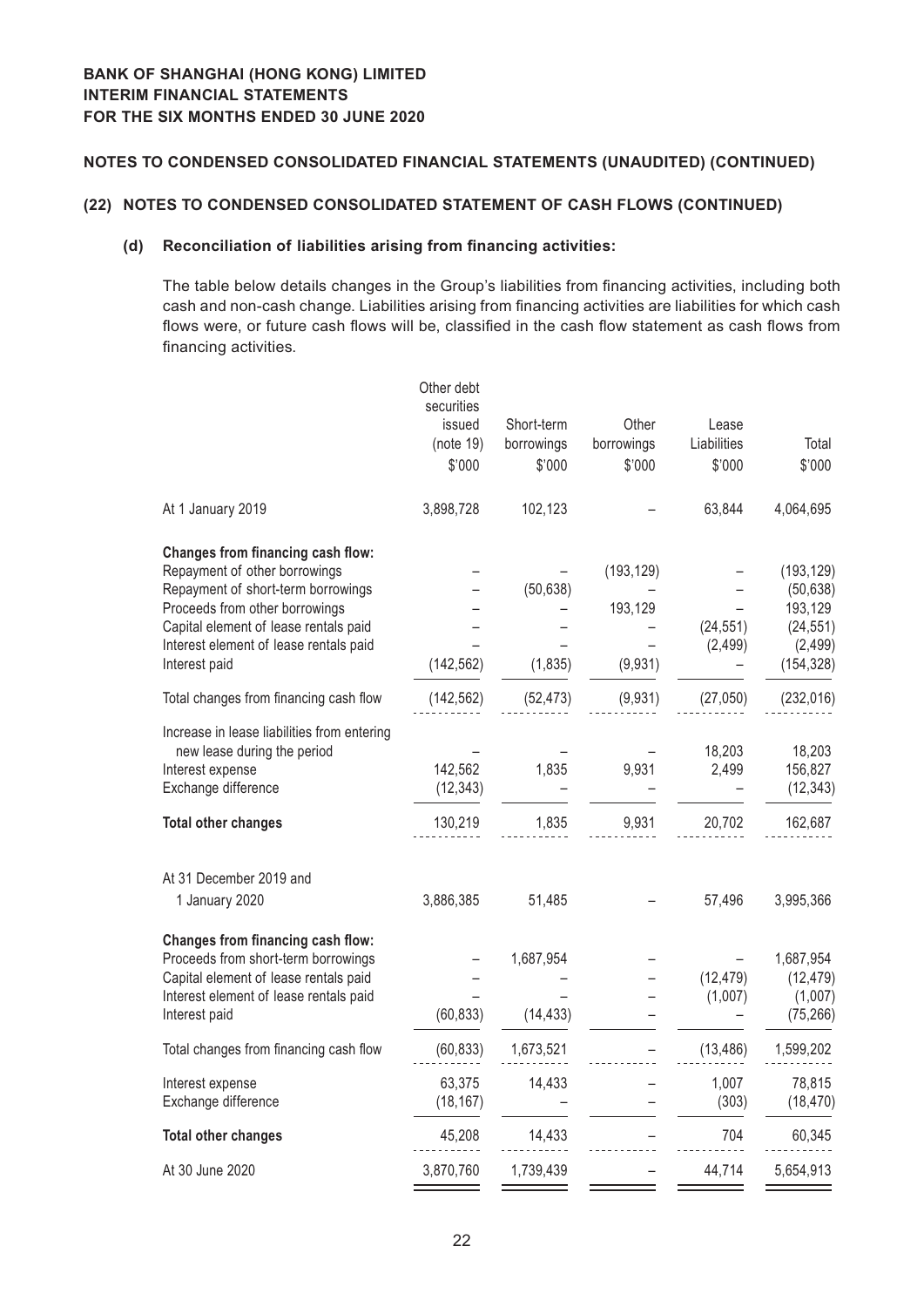#### **(22) NOTES TO CONDENSED CONSOLIDATED STATEMENT OF CASH FLOWS (CONTINUED)**

#### **(d) Reconciliation of liabilities arising from financing activities:**

The table below details changes in the Group's liabilities from financing activities, including both cash and non-cash change. Liabilities arising from financing activities are liabilities for which cash flows were, or future cash flows will be, classified in the cash flow statement as cash flows from financing activities.

| securities<br>issued<br>(note 19)<br>\$'000 | Short-term<br>borrowings<br>\$'000 | Other<br>borrowings<br>\$'000    | Lease<br>Liabilities<br>\$'000 | Total<br>\$'000                                                           |
|---------------------------------------------|------------------------------------|----------------------------------|--------------------------------|---------------------------------------------------------------------------|
| 3,898,728                                   | 102,123                            |                                  | 63,844                         | 4,064,695                                                                 |
| (142, 562)                                  | (50, 638)<br>(1, 835)              | (193, 129)<br>193,129<br>(9,931) | (24, 551)<br>(2, 499)          | (193, 129)<br>(50, 638)<br>193,129<br>(24, 551)<br>(2, 499)<br>(154, 328) |
| (142, 562)                                  | (52, 473)                          | (9,931)                          | (27,050)                       | (232, 016)                                                                |
| 142,562<br>(12, 343)<br>130,219             | 1,835<br>1,835                     | 9,931<br>9,931                   | 18,203<br>2,499<br>20,702      | 18,203<br>156,827<br>(12, 343)<br>162,687                                 |
| 3,886,385                                   | 51,485                             |                                  | 57,496                         | 3,995,366                                                                 |
| (60, 833)                                   | 1,687,954<br>(14, 433)             |                                  | (12, 479)<br>(1,007)           | 1,687,954<br>(12, 479)<br>(1,007)<br>(75, 266)                            |
| (60, 833)                                   | 1,673,521                          |                                  | (13, 486)                      | 1,599,202                                                                 |
| 63,375<br>(18, 167)                         | 14,433                             |                                  | 1,007<br>(303)                 | 78,815<br>(18, 470)                                                       |
| 45,208                                      | 14,433                             |                                  | 704                            | 60,345                                                                    |
| 3,870,760                                   | 1,739,439                          |                                  | 44,714                         | 5,654,913                                                                 |
|                                             | Other debt                         |                                  |                                |                                                                           |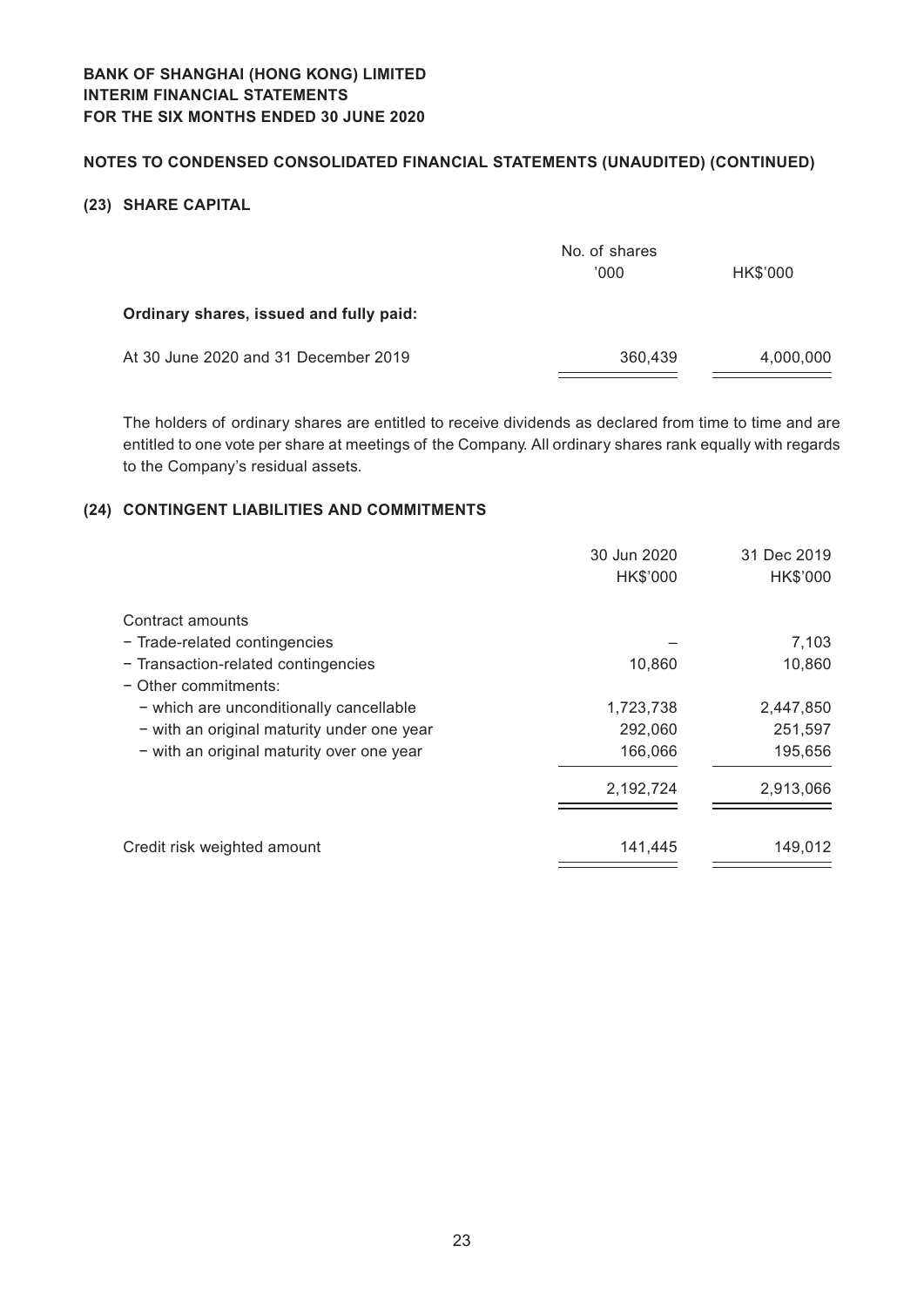## **Notes to Condensed Consolidated Financial Statements (Unaudited) (CONTINUED)**

## **(23) SHARE CAPITAL**

|                                         | No. of shares<br>'000 | HK\$'000  |
|-----------------------------------------|-----------------------|-----------|
| Ordinary shares, issued and fully paid: |                       |           |
| At 30 June 2020 and 31 December 2019    | 360,439               | 4,000,000 |

The holders of ordinary shares are entitled to receive dividends as declared from time to time and are entitled to one vote per share at meetings of the Company. All ordinary shares rank equally with regards to the Company's residual assets.

## **(24) CONTINGENT LIABILITIES AND COMMITMENTS**

|                                            | 30 Jun 2020<br>HK\$'000 | 31 Dec 2019<br>HK\$'000 |
|--------------------------------------------|-------------------------|-------------------------|
| Contract amounts                           |                         |                         |
| - Trade-related contingencies              |                         | 7,103                   |
| - Transaction-related contingencies        | 10,860                  | 10,860                  |
| $-$ Other commitments:                     |                         |                         |
| - which are unconditionally cancellable    | 1,723,738               | 2,447,850               |
| - with an original maturity under one year | 292,060                 | 251,597                 |
| - with an original maturity over one year  | 166,066                 | 195,656                 |
|                                            | 2,192,724               | 2,913,066               |
| Credit risk weighted amount                | 141,445                 | 149,012                 |
|                                            |                         |                         |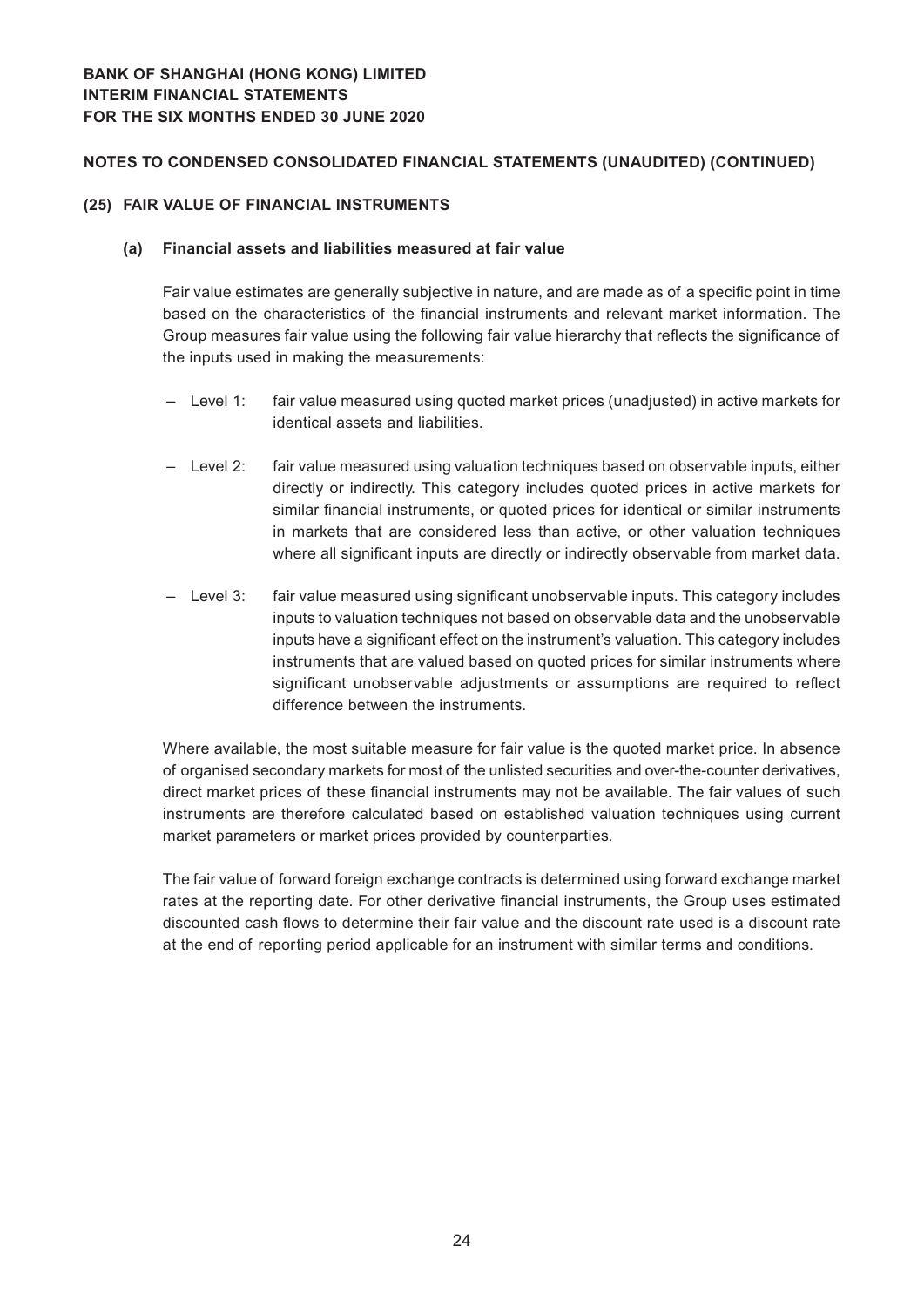#### **(25) FAIR VALUE OF FINANCIAL INSTRUMENTS**

#### **(a) Financial assets and liabilities measured at fair value**

Fair value estimates are generally subjective in nature, and are made as of a specific point in time based on the characteristics of the financial instruments and relevant market information. The Group measures fair value using the following fair value hierarchy that reflects the significance of the inputs used in making the measurements:

- Level 1: fair value measured using quoted market prices (unadjusted) in active markets for identical assets and liabilities.
- Level 2: fair value measured using valuation techniques based on observable inputs, either directly or indirectly. This category includes quoted prices in active markets for similar financial instruments, or quoted prices for identical or similar instruments in markets that are considered less than active, or other valuation techniques where all significant inputs are directly or indirectly observable from market data.
- Level 3: fair value measured using significant unobservable inputs. This category includes inputs to valuation techniques not based on observable data and the unobservable inputs have a significant effect on the instrument's valuation. This category includes instruments that are valued based on quoted prices for similar instruments where significant unobservable adjustments or assumptions are required to reflect difference between the instruments.

Where available, the most suitable measure for fair value is the quoted market price. In absence of organised secondary markets for most of the unlisted securities and over-the-counter derivatives, direct market prices of these financial instruments may not be available. The fair values of such instruments are therefore calculated based on established valuation techniques using current market parameters or market prices provided by counterparties.

The fair value of forward foreign exchange contracts is determined using forward exchange market rates at the reporting date. For other derivative financial instruments, the Group uses estimated discounted cash flows to determine their fair value and the discount rate used is a discount rate at the end of reporting period applicable for an instrument with similar terms and conditions.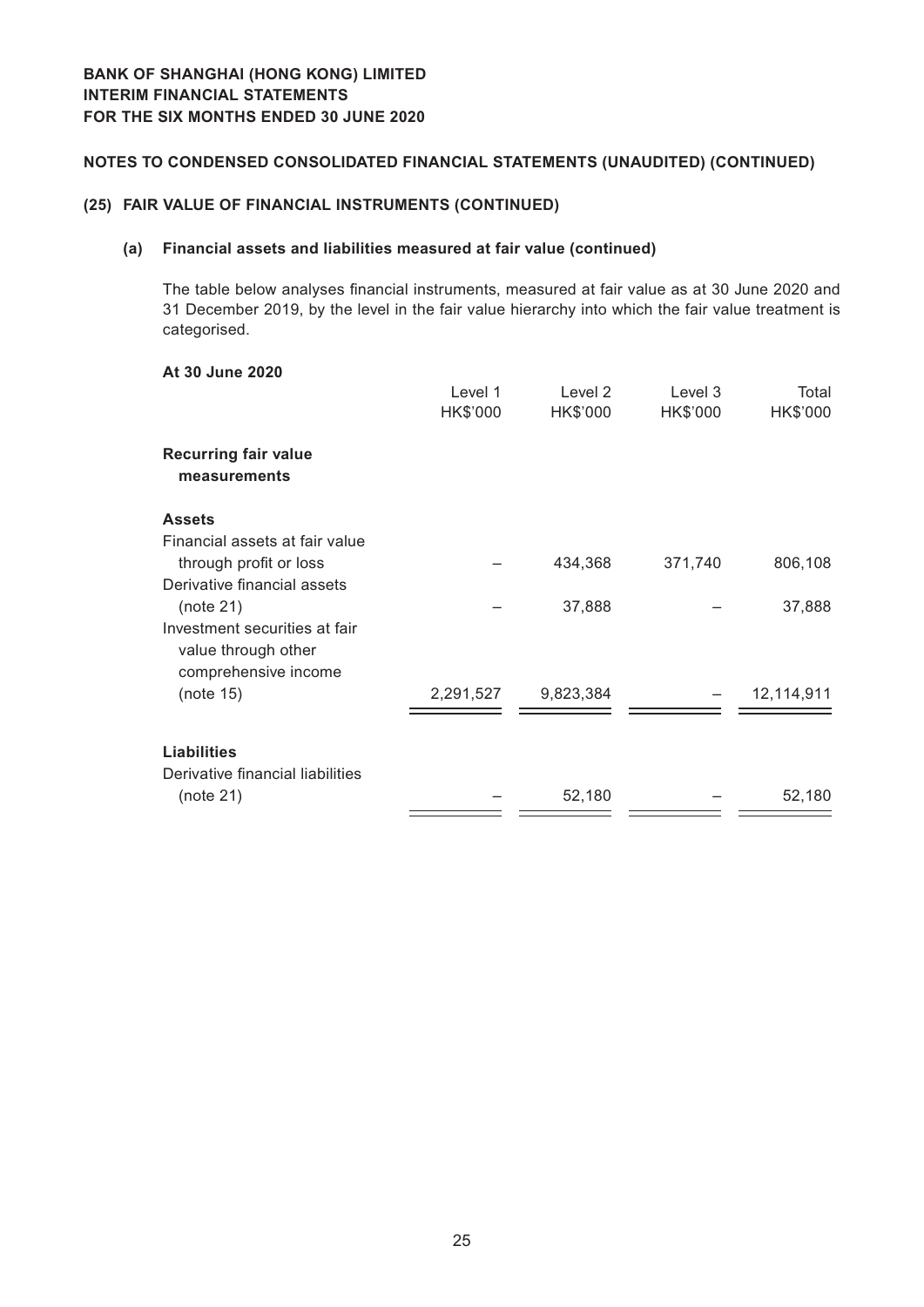**At 30 June 2020**

## **Notes to Condensed Consolidated Financial Statements (Unaudited) (CONTINUED)**

#### **(25) FAIR VALUE OF FINANCIAL INSTRUMENTS (CONTINUED)**

#### **(a) Financial assets and liabilities measured at fair value (continued)**

The table below analyses financial instruments, measured at fair value as at 30 June 2020 and 31 December 2019, by the level in the fair value hierarchy into which the fair value treatment is categorised.

|                                                                              | Level 1<br>HK\$'000 | Level 2<br>HK\$'000 | Level 3<br>HK\$'000 | Total<br>HK\$'000 |
|------------------------------------------------------------------------------|---------------------|---------------------|---------------------|-------------------|
| <b>Recurring fair value</b><br>measurements                                  |                     |                     |                     |                   |
| <b>Assets</b>                                                                |                     |                     |                     |                   |
| Financial assets at fair value<br>through profit or loss                     |                     | 434,368             | 371,740             | 806,108           |
| Derivative financial assets<br>(note 21)                                     |                     | 37,888              |                     | 37,888            |
| Investment securities at fair<br>value through other<br>comprehensive income |                     |                     |                     |                   |
| (note 15)                                                                    | 2,291,527           | 9,823,384           |                     | 12,114,911        |
| <b>Liabilities</b>                                                           |                     |                     |                     |                   |
| Derivative financial liabilities<br>(note 21)                                |                     | 52,180              |                     | 52,180            |
|                                                                              |                     |                     |                     |                   |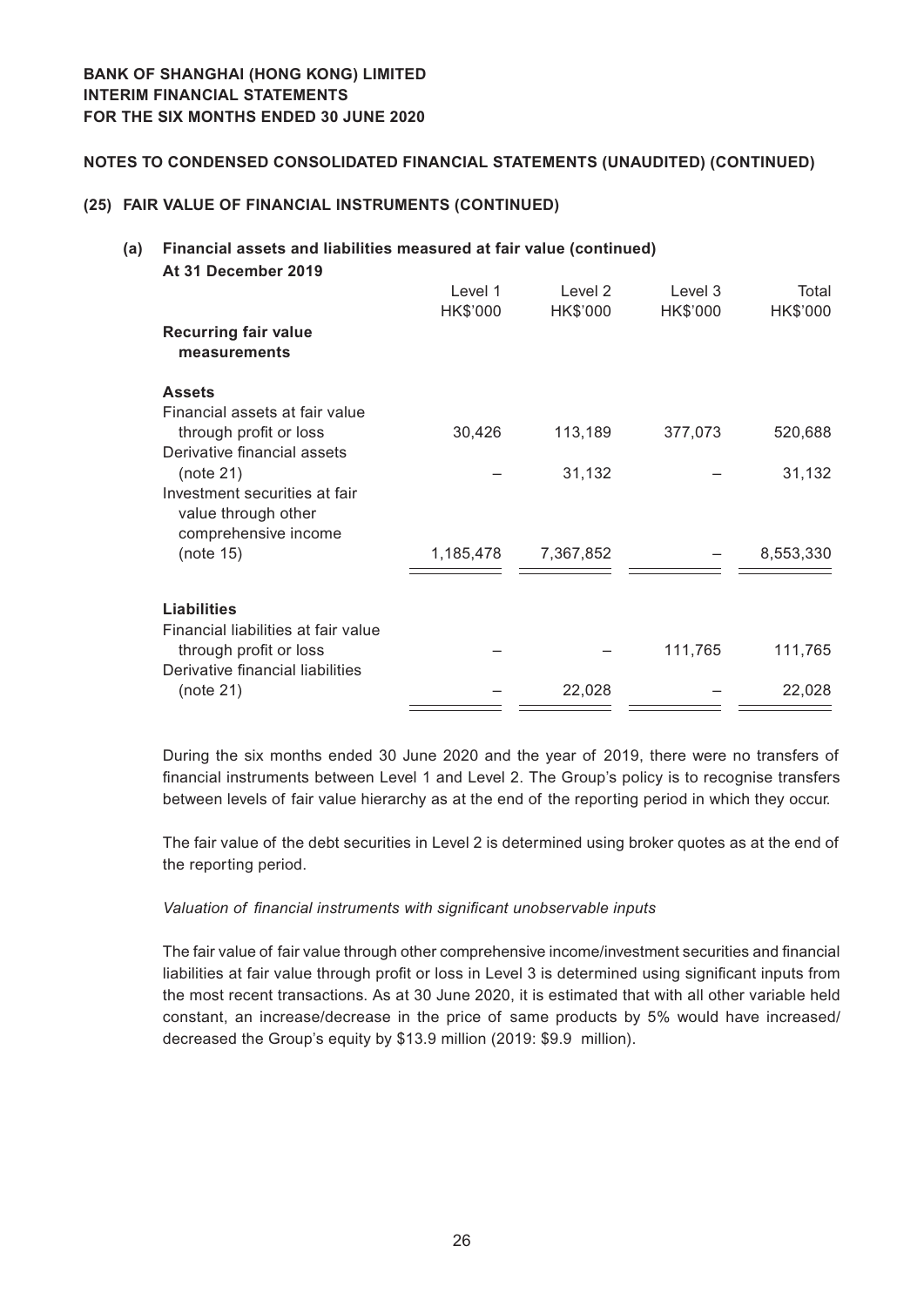#### **(25) FAIR VALUE OF FINANCIAL INSTRUMENTS (CONTINUED)**

#### **(a) Financial assets and liabilities measured at fair value (continued) At 31 December 2019**

| . UI DUUUIIINUI LUIU<br><b>Recurring fair value</b><br>measurements          | Level 1<br>HK\$'000 | Level 2<br>HK\$'000 | Level 3<br>HK\$'000 | Total<br>HK\$'000 |
|------------------------------------------------------------------------------|---------------------|---------------------|---------------------|-------------------|
| <b>Assets</b>                                                                |                     |                     |                     |                   |
| Financial assets at fair value                                               |                     |                     |                     |                   |
| through profit or loss                                                       | 30,426              | 113,189             | 377,073             | 520,688           |
| Derivative financial assets                                                  |                     |                     |                     |                   |
| (note 21)                                                                    |                     | 31,132              |                     | 31,132            |
| Investment securities at fair<br>value through other<br>comprehensive income |                     |                     |                     |                   |
| (note 15)                                                                    | 1,185,478           | 7,367,852           |                     | 8,553,330         |
|                                                                              |                     |                     |                     |                   |
| <b>Liabilities</b>                                                           |                     |                     |                     |                   |
| Financial liabilities at fair value                                          |                     |                     |                     |                   |
| through profit or loss                                                       |                     |                     | 111,765             | 111,765           |
| Derivative financial liabilities                                             |                     |                     |                     |                   |
| (note 21)                                                                    |                     | 22,028              |                     | 22,028            |
|                                                                              |                     |                     |                     |                   |

During the six months ended 30 June 2020 and the year of 2019, there were no transfers of financial instruments between Level 1 and Level 2. The Group's policy is to recognise transfers between levels of fair value hierarchy as at the end of the reporting period in which they occur.

The fair value of the debt securities in Level 2 is determined using broker quotes as at the end of the reporting period.

#### *Valuation of financial instruments with significant unobservable inputs*

The fair value of fair value through other comprehensive income/investment securities and financial liabilities at fair value through profit or loss in Level 3 is determined using significant inputs from the most recent transactions. As at 30 June 2020, it is estimated that with all other variable held constant, an increase/decrease in the price of same products by 5% would have increased/ decreased the Group's equity by \$13.9 million (2019: \$9.9 million).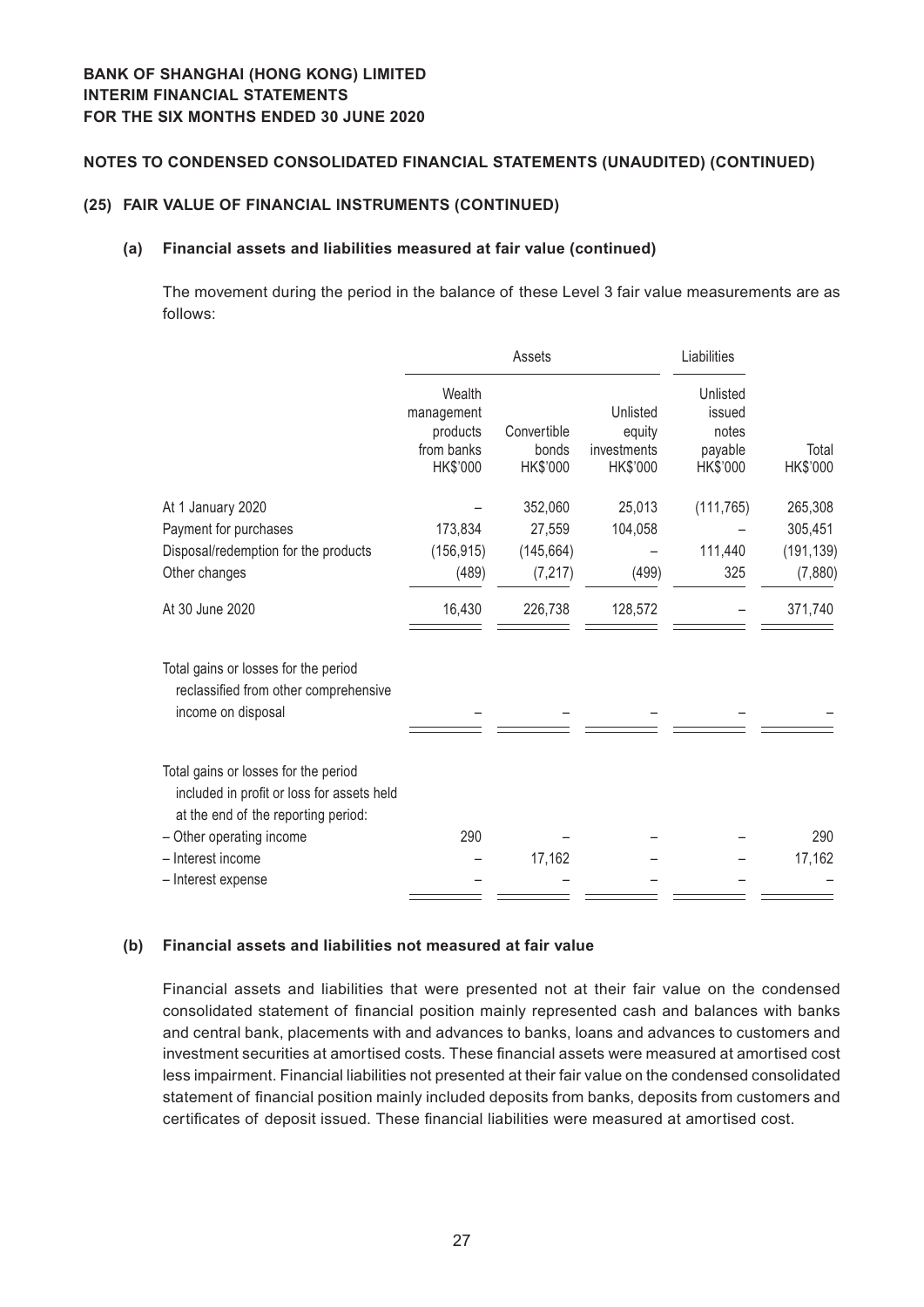#### **(25) FAIR VALUE OF FINANCIAL INSTRUMENTS (CONTINUED)**

#### **(a) Financial assets and liabilities measured at fair value (continued)**

The movement during the period in the balance of these Level 3 fair value measurements are as follows:

|                                                                                                                           |                                                            | Assets                           |                                               | Liabilities                                        |                   |
|---------------------------------------------------------------------------------------------------------------------------|------------------------------------------------------------|----------------------------------|-----------------------------------------------|----------------------------------------------------|-------------------|
|                                                                                                                           | Wealth<br>management<br>products<br>from banks<br>HK\$'000 | Convertible<br>bonds<br>HK\$'000 | Unlisted<br>equity<br>investments<br>HK\$'000 | Unlisted<br>issued<br>notes<br>payable<br>HK\$'000 | Total<br>HK\$'000 |
| At 1 January 2020                                                                                                         |                                                            | 352,060                          | 25,013                                        | (111, 765)                                         | 265,308           |
| Payment for purchases                                                                                                     | 173,834                                                    | 27,559                           | 104,058                                       |                                                    | 305,451           |
| Disposal/redemption for the products                                                                                      | (156, 915)                                                 | (145, 664)                       |                                               | 111,440                                            | (191, 139)        |
| Other changes                                                                                                             | (489)                                                      | (7, 217)                         | (499)                                         | 325                                                | (7,880)           |
| At 30 June 2020                                                                                                           | 16,430                                                     | 226,738                          | 128,572                                       |                                                    | 371,740           |
| Total gains or losses for the period<br>reclassified from other comprehensive<br>income on disposal                       |                                                            |                                  |                                               |                                                    |                   |
| Total gains or losses for the period<br>included in profit or loss for assets held<br>at the end of the reporting period: |                                                            |                                  |                                               |                                                    |                   |
| - Other operating income                                                                                                  | 290                                                        |                                  |                                               |                                                    | 290               |
| - Interest income                                                                                                         |                                                            | 17,162                           |                                               |                                                    | 17,162            |
| - Interest expense                                                                                                        |                                                            |                                  |                                               |                                                    |                   |

## **(b) Financial assets and liabilities not measured at fair value**

Financial assets and liabilities that were presented not at their fair value on the condensed consolidated statement of financial position mainly represented cash and balances with banks and central bank, placements with and advances to banks, loans and advances to customers and investment securities at amortised costs. These financial assets were measured at amortised cost less impairment. Financial liabilities not presented at their fair value on the condensed consolidated statement of financial position mainly included deposits from banks, deposits from customers and certificates of deposit issued. These financial liabilities were measured at amortised cost.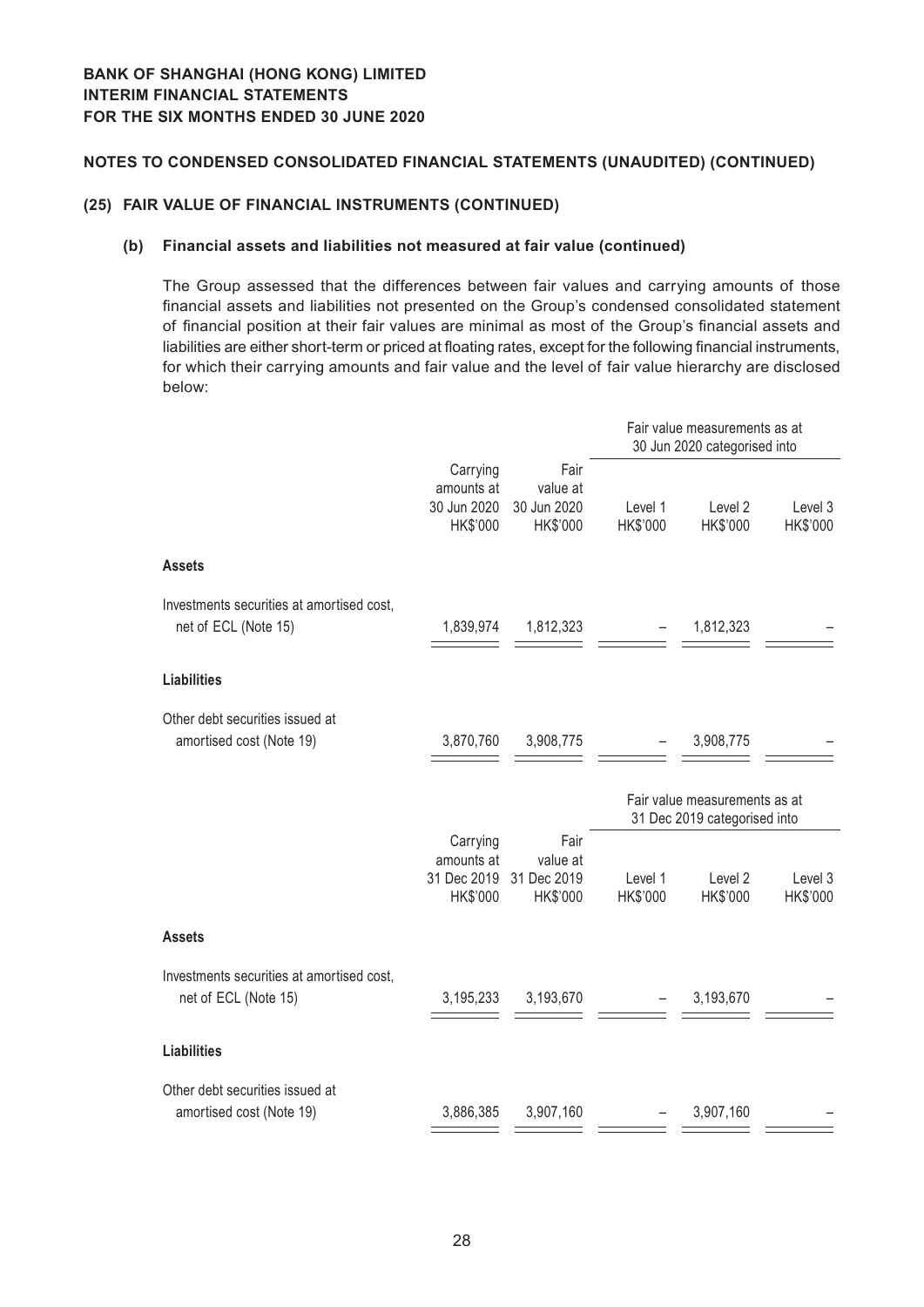#### **(25) FAIR VALUE OF FINANCIAL INSTRUMENTS (CONTINUED)**

#### **(b) Financial assets and liabilities not measured at fair value (continued)**

The Group assessed that the differences between fair values and carrying amounts of those financial assets and liabilities not presented on the Group's condensed consolidated statement of financial position at their fair values are minimal as most of the Group's financial assets and liabilities are either short-term or priced at floating rates, except for the following financial instruments, for which their carrying amounts and fair value and the level of fair value hierarchy are disclosed below:

|                                                                   |                                                   | Fair value measurements as at<br>30 Jun 2020 categorised into |                     |                                                               |                     |  |
|-------------------------------------------------------------------|---------------------------------------------------|---------------------------------------------------------------|---------------------|---------------------------------------------------------------|---------------------|--|
|                                                                   | Carrying<br>amounts at<br>30 Jun 2020<br>HK\$'000 | Fair<br>value at<br>30 Jun 2020<br>HK\$'000                   | Level 1<br>HK\$'000 | Level <sub>2</sub><br>HK\$'000                                | Level 3<br>HK\$'000 |  |
| <b>Assets</b>                                                     |                                                   |                                                               |                     |                                                               |                     |  |
| Investments securities at amortised cost,<br>net of ECL (Note 15) | 1,839,974                                         | 1,812,323                                                     |                     | 1,812,323                                                     |                     |  |
| <b>Liabilities</b>                                                |                                                   |                                                               |                     |                                                               |                     |  |
| Other debt securities issued at<br>amortised cost (Note 19)       | 3,870,760                                         | 3,908,775                                                     |                     | 3,908,775                                                     |                     |  |
|                                                                   |                                                   |                                                               |                     | Fair value measurements as at<br>31 Dec 2019 categorised into |                     |  |
|                                                                   | Carrying<br>amounts at<br>31 Dec 2019<br>HK\$'000 | Fair<br>value at<br>31 Dec 2019<br>HK\$'000                   | Level 1<br>HK\$'000 | Level <sub>2</sub><br>HK\$'000                                | Level 3<br>HK\$'000 |  |
| <b>Assets</b>                                                     |                                                   |                                                               |                     |                                                               |                     |  |
| Investments securities at amortised cost,<br>net of ECL (Note 15) | 3,195,233                                         | 3,193,670                                                     |                     | 3,193,670                                                     |                     |  |
| <b>Liabilities</b>                                                |                                                   |                                                               |                     |                                                               |                     |  |
| Other debt securities issued at<br>amortised cost (Note 19)       | 3,886,385                                         | 3,907,160                                                     |                     | 3,907,160                                                     |                     |  |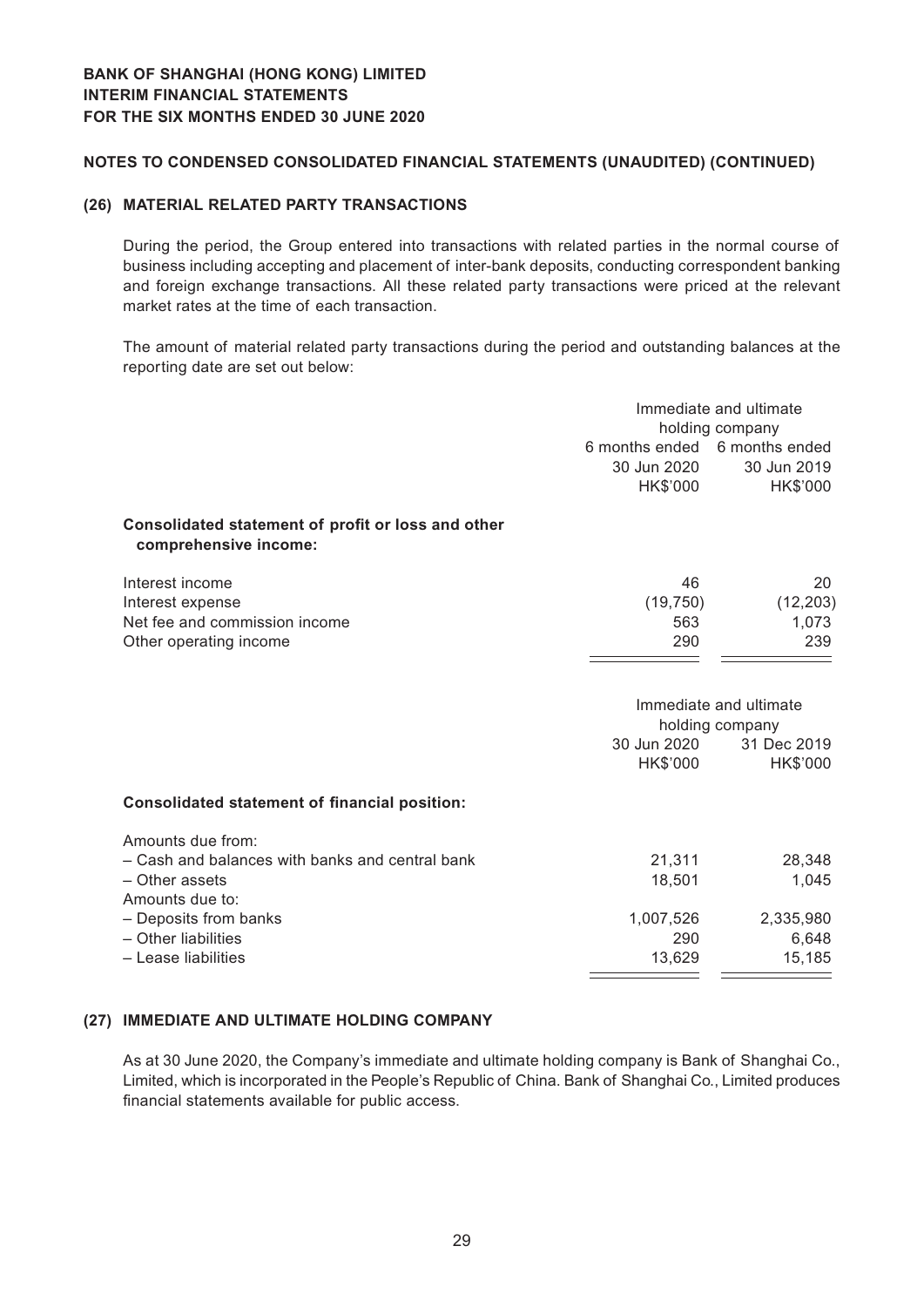#### **(26) MATERIAL RELATED PARTY TRANSACTIONS**

During the period, the Group entered into transactions with related parties in the normal course of business including accepting and placement of inter-bank deposits, conducting correspondent banking and foreign exchange transactions. All these related party transactions were priced at the relevant market rates at the time of each transaction.

The amount of material related party transactions during the period and outstanding balances at the reporting date are set out below:

|                                                                             | Immediate and ultimate        |                                                                      |  |
|-----------------------------------------------------------------------------|-------------------------------|----------------------------------------------------------------------|--|
|                                                                             |                               | holding company                                                      |  |
|                                                                             | 6 months ended 6 months ended |                                                                      |  |
|                                                                             | 30 Jun 2020                   | 30 Jun 2019                                                          |  |
|                                                                             | HK\$'000                      | HK\$'000                                                             |  |
| Consolidated statement of profit or loss and other<br>comprehensive income: |                               |                                                                      |  |
| Interest income                                                             | 46                            | 20                                                                   |  |
| Interest expense                                                            | (19, 750)                     | (12, 203)                                                            |  |
| Net fee and commission income                                               | 563                           | 1,073                                                                |  |
| Other operating income                                                      | 290                           | 239                                                                  |  |
|                                                                             | 30 Jun 2020<br>HK\$'000       | Immediate and ultimate<br>holding company<br>31 Dec 2019<br>HK\$'000 |  |
| <b>Consolidated statement of financial position:</b>                        |                               |                                                                      |  |
| Amounts due from:                                                           |                               |                                                                      |  |
| - Cash and balances with banks and central bank                             | 21,311                        | 28,348                                                               |  |
| - Other assets                                                              | 18,501                        | 1,045                                                                |  |
| Amounts due to:                                                             |                               |                                                                      |  |
| - Deposits from banks                                                       | 1,007,526                     | 2,335,980                                                            |  |
| - Other liabilities                                                         | 290                           | 6,648                                                                |  |
| - Lease liabilities                                                         | 13,629                        | 15,185                                                               |  |

#### **(27) IMMEDIATE AND ULTIMATE HOLDING COMPANY**

As at 30 June 2020, the Company's immediate and ultimate holding company is Bank of Shanghai Co., Limited, which is incorporated in the People's Republic of China. Bank of Shanghai Co., Limited produces financial statements available for public access.